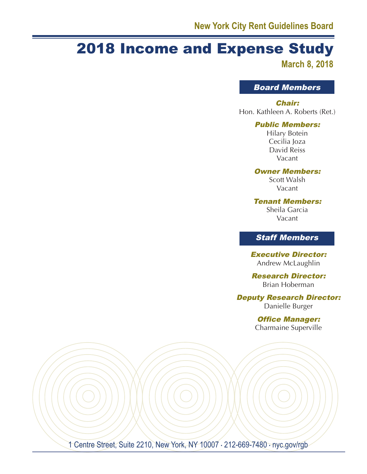# 2018 Income and Expense Study

**March 8, 2018**

Board Members

#### Chair:

Hon. Kathleen A. Roberts (Ret.)

#### Public Members:

Hilary Botein Cecilia Joza David Reiss Vacant

#### Owner Members:

Scott Walsh Vacant

Tenant Members:

Sheila Garcia Vacant

# Staff Members

Executive Director: Andrew McLaughlin

Research Director: Brian Hoberman

Deputy Research Director:

Danielle Burger

Office Manager: Charmaine Superville

1 Centre Street, Suite 2210, New York, NY 10007 · 212-669-7480 · nyc.gov/rgb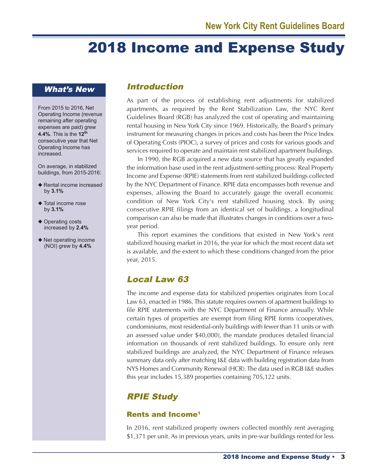# 2018 Income and Expense Study

### What's New

From 2015 to 2016, Net Operating Income (revenue remaining after operating expenses are paid) grew **4.4%**. This is the **12th** consecutive year that Net Operating Income has increased.

On average, in stabilized buildings, from 2015-2016:

- ◆ Rental income increased by **3.1%**
- ◆ Total income rose by **3.1%**
- ◆ Operating costs increased by **2.4%**
- ◆ Net operating income (NOI) grew by **4.4%**

### Introduction

As part of the process of establishing rent adjustments for stabilized apartments, as required by the Rent Stabilization Law, the NYC Rent Guidelines Board (RGB) has analyzed the cost of operating and maintaining rental housing in New York City since 1969. Historically, the Board's primary instrument for measuring changes in prices and costs has been the Price Index of Operating Costs (PIOC), a survey of prices and costs for various goods and services required to operate and maintain rent stabilized apartment buildings.

In 1990, the RGB acquired a new data source that has greatly expanded the information base used in the rent adjustment-setting process: Real Property Income and Expense (RPIE) statements from rent stabilized buildings collected by the NYC Department of Finance. RPIE data encompasses both revenue and expenses, allowing the Board to accurately gauge the overall economic condition of New York City's rent stabilized housing stock. By using consecutive RPIE filings from an identical set of buildings, a longitudinal comparison can also be made that illustrates changes in conditions over a twoyear period.

This report examines the conditions that existed in New York's rent stabilized housing market in 2016, the year for which the most recent data set is available, and the extent to which these conditions changed from the prior year, 2015.

# Local Law 63

The income and expense data for stabilized properties originates from Local Law 63, enacted in 1986. This statute requires owners of apartment buildings to file RPIE statements with the NYC Department of Finance annually. While certain types of properties are exempt from filing RPIE forms (cooperatives, condominiums, most residential-only buildings with fewer than 11 units or with an assessed value under \$40,000), the mandate produces detailed financial information on thousands of rent stabilized buildings. To ensure only rent stabilized buildings are analyzed, the NYC Department of Finance releases summary data only after matching I&E data with building registration data from NYS Homes and Community Renewal (HCR). The data used in RGB I&E studies this year includes 15,389 properties containing 705,122 units.

# RPIE Study

### Rents and Income1

In 2016, rent stabilized property owners collected monthly rent averaging \$1,371 per unit. As in previous years, units in pre-war buildings rented for less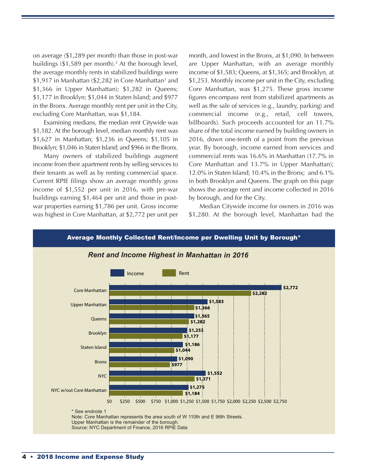on average (\$1,289 per month) than those in post-war buildings (\$1,589 per month). <sup>2</sup> At the borough level, the average monthly rents in stabilized buildings were \$1,917 in Manhattan (\$2,282 in Core Manhattan<sup>3</sup> and \$1,366 in Upper Manhattan); \$1,282 in Queens; \$1,177 in Brooklyn; \$1,044 in Staten Island; and \$977 in the Bronx. Average monthly rent per unit in the City, excluding Core Manhattan, was \$1,184.

Examining medians, the median rent Citywide was \$1,182. At the borough level, median monthly rent was \$1,627 in Manhattan; \$1,236 in Queens; \$1,105 in Brooklyn; \$1,046 in Staten Island; and \$966 in the Bronx.

Many owners of stabilized buildings augment income from their apartment rents by selling services to their tenants as well as by renting commercial space. Current RPIE filings show an average monthly gross income of \$1,552 per unit in 2016, with pre-war buildings earning \$1,464 per unit and those in postwar properties earning \$1,786 per unit. Gross income was highest in Core Manhattan, at \$2,772 per unit per month, and lowest in the Bronx, at \$1,090. In between are Upper Manhattan, with an average monthly income of \$1,583; Queens, at \$1,365; and Brooklyn, at \$1,253. Monthly income per unit in the City, excluding Core Manhattan, was \$1,275. These gross income figures encompass rent from stabilized apartments as well as the sale of services (e.g., laundry, parking) and commercial income (e.g., retail, cell towers, billboards). Such proceeds accounted for an 11.7% share of the total income earned by building owners in 2016, down one-tenth of a point from the previous year. By borough, income earned from services and commercial rents was 16.6% in Manhattan (17.7% in Core Manhattan and 13.7% in Upper Manhattan); 12.0% in Staten Island; 10.4% in the Bronx; and 6.1% in both Brooklyn and Queens. The graph on this page shows the average rent and income collected in 2016 by borough, and for the City.

Median Citywide income for owners in 2016 was \$1,280. At the borough level, Manhattan had the

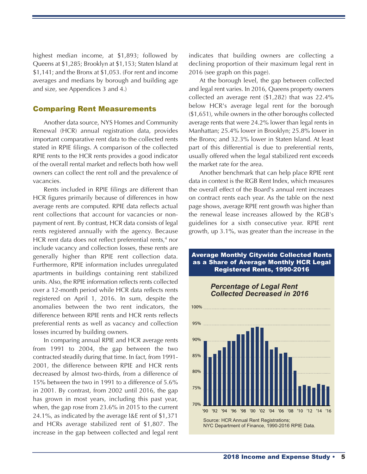highest median income, at \$1,893; followed by Queens at \$1,285; Brooklyn at \$1,153; Staten Island at \$1,141; and the Bronx at \$1,053. (For rent and income averages and medians by borough and building age and size, see Appendices 3 and 4.)

#### Comparing Rent Measurements

Another data source, NYS Homes and Community Renewal (HCR) annual registration data, provides important comparative rent data to the collected rents stated in RPIE filings. A comparison of the collected RPIE rents to the HCR rents provides a good indicator of the overall rental market and reflects both how well owners can collect the rent roll and the prevalence of vacancies.

Rents included in RPIE filings are different than HCR figures primarily because of differences in how average rents are computed. RPIE data reflects actual rent collections that account for vacancies or nonpayment of rent. By contrast, HCR data consists of legal rents registered annually with the agency. Because HCR rent data does not reflect preferential rents, <sup>4</sup> nor include vacancy and collection losses, these rents are generally higher than RPIE rent collection data. Furthermore, RPIE information includes unregulated apartments in buildings containing rent stabilized units. Also, the RPIE information reflects rents collected over a 12-month period while HCR data reflects rents registered on April 1, 2016. In sum, despite the anomalies between the two rent indicators, the difference between RPIE rents and HCR rents reflects preferential rents as well as vacancy and collection losses incurred by building owners.

In comparing annual RPIE and HCR average rents from 1991 to 2004, the gap between the two contracted steadily during that time. In fact, from 1991- 2001, the difference between RPIE and HCR rents decreased by almost two-thirds, from a difference of 15% between the two in 1991 to a difference of 5.6% in 2001. By contrast, from 2002 until 2016, the gap has grown in most years, including this past year, when, the gap rose from 23.6% in 2015 to the current 24.1%, as indicated by the average I&E rent of \$1,371 and HCRs average stabilized rent of \$1,807. The increase in the gap between collected and legal rent indicates that building owners are collecting a declining proportion of their maximum legal rent in 2016 (see graph on this page).

At the borough level, the gap between collected and legal rent varies. In 2016, Queens property owners collected an average rent (\$1,282) that was 22.4% below HCR's average legal rent for the borough (\$1,651), while owners in the other boroughs collected average rents that were 24.2% lower than legal rents in Manhattan; 25.4% lower in Brooklyn; 25.8% lower in the Bronx; and 32.3% lower in Staten Island. At least part of this differential is due to preferential rents, usually offered when the legal stabilized rent exceeds the market rate for the area.

Another benchmark that can help place RPIE rent data in context is the RGB Rent Index, which measures the overall effect of the Board's annual rent increases on contract rents each year. As the table on the next page shows, average RPIE rent growth was higher than the renewal lease increases allowed by the RGB's guidelines for a sixth consecutive year. RPIE rent growth, up 3.1%, was greater than the increase in the



# Average Monthly Citywide Collected Rents as a Share of Average Monthly HCR Legal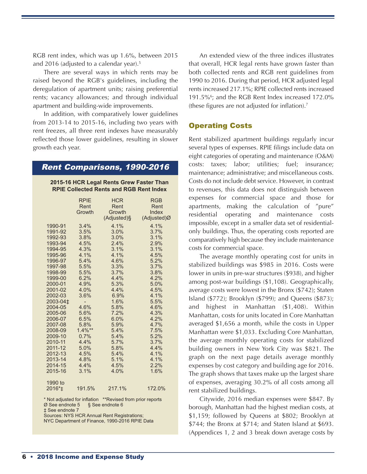RGB rent index, which was up 1.6%, between 2015 and 2016 (adjusted to a calendar year). 5

There are several ways in which rents may be raised beyond the RGB's guidelines, including the deregulation of apartment units; raising preferential rents; vacancy allowances; and through individual apartment and building-wide improvements.

In addition, with comparatively lower guidelines from 2013-14 to 2015-16, including two years with rent freezes, all three rent indexes have measurably reflected those lower guidelines, resulting in slower growth each year.

#### Rent Comparisons, 1990-2016

| 2015-16 HCR Legal Rents Grew Faster Than       |  |
|------------------------------------------------|--|
| <b>RPIE Collected Rents and RGB Rent Index</b> |  |

|                      | <b>RPIE</b>    | <b>HCR</b><br>Rent | <b>RGB</b><br>Rent |
|----------------------|----------------|--------------------|--------------------|
|                      | Rent<br>Growth | Growth             | Index              |
|                      |                |                    |                    |
|                      |                | (Adjusted)§        | (Adjusted)Ø        |
| 1990-91              | 3.4%           | 4.1%               | 4.1%               |
| 1991-92              | 3.5%           | 3.0%               | 3.7%               |
| 1992-93              | 3.8%           | 3.0%               | 3.1%               |
| 1993-94              | 4.5%           | 2.4%               | 2.9%               |
| 1994-95              | 4.3%           | 3.1%               | 3.1%               |
| 1995-96              | 4.1%           | 4.1%               | 4.5%               |
| 1996-97              | 5.4%           | 4.6%               | 5.2%               |
| 1997-98              | 5.5%           | 3.3%               | 3.7%               |
| 1998-99              | 5.5%           | 3.7%               | 3.8%               |
| 1999-00              | 6.2%           | 4.4%               | 4.2%               |
| 2000-01              | 4.9%           | 5.3%               | 5.0%               |
| 2001-02              | 4.0%           | 4.4%               | 4.5%               |
| 2002-03              | 3.6%           | 6.9%               | 4.1%               |
| 2003-04 <sup>±</sup> |                | 1.6%               | 5.5%               |
| 2004-05              | 4.6%           | 5.8%               | 4.6%               |
| 2005-06              | 5.6%           | 7.2%               | 4.3%               |
| 2006-07              | 6.5%           | 6.0%               | 4.2%               |
| 2007-08              | 5.8%           | 5.9%               | 4.7%               |
| 2008-09              | $1.4\%**$      | 5.4%               | 7.5%               |
| 2009-10              | 0.7%           | 5.4%               | 5.2%               |
| 2010-11              | 4.4%           | 5.7%               | 3.7%               |
| 2011-12              | 5.0%           | 5.8%               | 4.4%               |
| 2012-13              | 4.5%           | 5.4%               | 4.1%               |
| 2013-14              | 4.8%           | 5.1%               | 4.1%               |
| 2014-15              | 4.4%           | 4.5%               | 2.2%               |
| 2015-16              | 3.1%           | 4.0%               | 1.6%               |
| 1990 to              |                |                    |                    |
| 2016* <sub>±</sub>   | 191.5%         | 217.1%             | 172.0%             |

\* Not adjusted for inflation \*\*Revised from prior reports  $\emptyset$  See endnote 5 § See endnote 6  $\varnothing$  See endnote 5 ‡ See endnote 7

Sources: NYS HCR Annual Rent Registrations;

NYC Department of Finance, 1990-2016 RPIE Data

An extended view of the three indices illustrates that overall, HCR legal rents have grown faster than both collected rents and RGB rent guidelines from 1990 to 2016. During that period, HCR adjusted legal rents increased 217.1%; RPIE collected rents increased 191.5%6; and the RGB Rent Index increased 172.0% (these figures are not adjusted for inflation). 7

#### Operating Costs

Rent stabilized apartment buildings regularly incur several types of expenses. RPIE filings include data on eight categories of operating and maintenance (O&M) costs: taxes; labor; utilities; fuel; insurance; maintenance; administrative; and miscellaneous costs. Costs do not include debt service. However, in contrast to revenues, this data does not distinguish between expenses for commercial space and those for apartments, making the calculation of "pure" residential operating and maintenance costs impossible, except in a smaller data set of residentialonly buildings. Thus, the operating costs reported are comparatively high because they include maintenance costs for commercial space.

The average monthly operating cost for units in stabilized buildings was \$985 in 2016. Costs were lower in units in pre-war structures (\$938), and higher among post-war buildings (\$1,108). Geographically, average costs were lowest in the Bronx (\$742); Staten Island (\$772); Brooklyn (\$799); and Queens (\$873); and highest in Manhattan (\$1,408). Within Manhattan, costs for units located in Core Manhattan averaged \$1,656 a month, while the costs in Upper Manhattan were \$1,033. Excluding Core Manhattan, the average monthly operating costs for stabilized building owners in New York City was \$821. The graph on the next page details average monthly expenses by cost category and building age for 2016. The graph shows that taxes make up the largest share of expenses, averaging 30.2% of all costs among all rent stabilized buildings.

Citywide, 2016 median expenses were \$847. By borough, Manhattan had the highest median costs, at \$1,159; followed by Queens at \$802; Brooklyn at \$744; the Bronx at \$714; and Staten Island at \$693. (Appendices 1, 2 and 3 break down average costs by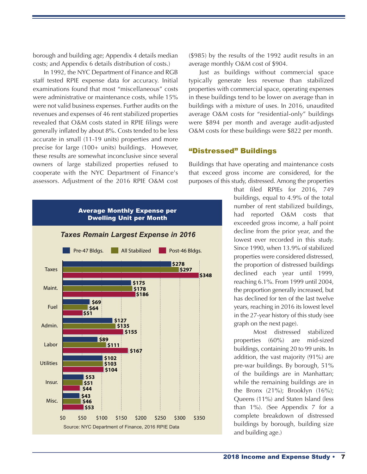borough and building age; Appendix 4 details median costs; and Appendix 6 details distribution of costs.)

In 1992, the NYC Department of Finance and RGB staff tested RPIE expense data for accuracy. Initial examinations found that most "miscellaneous" costs were administrative or maintenance costs, while 15% were not valid business expenses. Further audits on the revenues and expenses of 46 rent stabilized properties revealed that O&M costs stated in RPIE filings were generally inflated by about 8%. Costs tended to be less accurate in small (11-19 units) properties and more precise for large (100+ units) buildings. However, these results are somewhat inconclusive since several owners of large stabilized properties refused to cooperate with the NYC Department of Finance's assessors. Adjustment of the 2016 RPIE O&M cost



(\$985) by the results of the 1992 audit results in an average monthly O&M cost of \$904.

Just as buildings without commercial space typically generate less revenue than stabilized properties with commercial space, operating expenses in these buildings tend to be lower on average than in buildings with a mixture of uses. In 2016, unaudited average O&M costs for "residential-only" buildings were \$894 per month and average audit-adjusted O&M costs for these buildings were \$822 per month.

#### "Distressed" Buildings

Buildings that have operating and maintenance costs that exceed gross income are considered, for the purposes of this study, distressed. Among the properties

> that filed RPIEs for 2016, 749 buildings, equal to 4.9% of the total number of rent stabilized buildings, had reported O&M costs that exceeded gross income, a half point decline from the prior year, and the lowest ever recorded in this study. Since 1990, when 13.9% of stabilized properties were considered distressed, the proportion of distressed buildings declined each year until 1999, reaching 6.1%. From 1999 until 2004, the proportion generally increased, but has declined for ten of the last twelve years, reaching in 2016 its lowest level in the 27-year history of this study (see graph on the next page).

> Most distressed stabilized properties (60%) are mid-sized buildings, containing 20 to 99 units. In addition, the vast majority (91%) are pre-war buildings. By borough, 51% of the buildings are in Manhattan; while the remaining buildings are in the Bronx (21%); Brooklyn (16%); Queens (11%) and Staten Island (less than 1%). (See Appendix 7 for a complete breakdown of distressed buildings by borough, building size and building age.)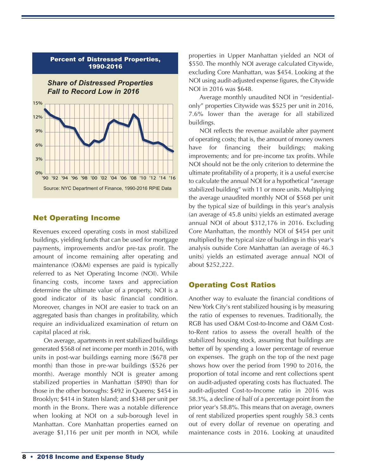

#### Net Operating Income

Revenues exceed operating costs in most stabilized buildings, yielding funds that can be used for mortgage payments, improvements and/or pre-tax profit. The amount of income remaining after operating and maintenance (O&M) expenses are paid is typically referred to as Net Operating Income (NOI). While financing costs, income taxes and appreciation determine the ultimate value of a property, NOI is a good indicator of its basic financial condition. Moreover, changes in NOI are easier to track on an aggregated basis than changes in profitability, which require an individualized examination of return on capital placed at risk.

On average, apartments in rent stabilized buildings generated \$568 of net income per month in 2016, with units in post-war buildings earning more (\$678 per month) than those in pre-war buildings (\$526 per month). Average monthly NOI is greater among stabilized properties in Manhattan (\$890) than for those in the other boroughs: \$492 in Queens; \$454 in Brooklyn; \$414 in Staten Island; and \$348 per unit per month in the Bronx. There was a notable difference when looking at NOI on a sub-borough level in Manhattan. Core Manhattan properties earned on average \$1,116 per unit per month in NOI, while

properties in Upper Manhattan yielded an NOI of \$550. The monthly NOI average calculated Citywide, excluding Core Manhattan, was \$454. Looking at the NOI using audit-adjusted expense figures, the Citywide NOI in 2016 was \$648.

Average monthly unaudited NOI in "residentialonly" properties Citywide was \$525 per unit in 2016, 7.6% lower than the average for all stabilized buildings.

NOI reflects the revenue available after payment of operating costs; that is, the amount of money owners have for financing their buildings; making improvements; and for pre-income tax profits. While NOI should not be the only criterion to determine the ultimate profitability of a property, it is a useful exercise to calculate the annual NOI for a hypothetical "average stabilized building" with 11 or more units. Multiplying the average unaudited monthly NOI of \$568 per unit by the typical size of buildings in this year's analysis (an average of 45.8 units) yields an estimated average annual NOI of about \$312,176 in 2016. Excluding Core Manhattan, the monthly NOI of \$454 per unit multiplied by the typical size of buildings in this year's analysis outside Core Manhattan (an average of 46.3 units) yields an estimated average annual NOI of about \$252,222.

#### Operating Cost Ratios

Another way to evaluate the financial conditions of NewYork City's rent stabilized housing is by measuring the ratio of expenses to revenues. Traditionally, the RGB has used O&M Cost-to-Income and O&M Costto-Rent ratios to assess the overall health of the stabilized housing stock, assuming that buildings are better off by spending a lower percentage of revenue on expenses. The graph on the top of the next page shows how over the period from 1990 to 2016, the proportion of total income and rent collections spent on audit-adjusted operating costs has fluctuated. The audit-adjusted Cost-to-Income ratio in 2016 was 58.3%, a decline of half of a percentage point from the prior year's 58.8%. This means that on average, owners of rent stabilized properties spent roughly 58.3 cents out of every dollar of revenue on operating and maintenance costs in 2016. Looking at unaudited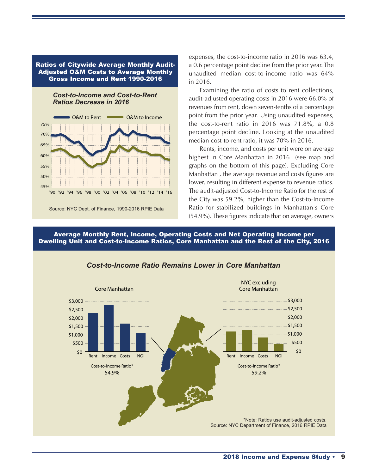#### Ratios of Citywide Average Monthly Audit-Adjusted O&M Costs to Average Monthly Gross Income and Rent 1990-2016





Source: NYC Dept. of Finance, 1990-2016 RPIE Data

expenses, the cost-to-income ratio in 2016 was 63.4, a 0.6 percentage point decline from the prior year. The unaudited median cost-to-income ratio was 64% in 2016.

Examining the ratio of costs to rent collections, audit-adjusted operating costs in 2016 were 66.0% of revenues from rent, down seven-tenths of a percentage point from the prior year. Using unaudited expenses, the cost-to-rent ratio in 2016 was 71.8%, a 0.8 percentage point decline. Looking at the unaudited median cost-to-rent ratio, it was 70% in 2016.

Rents, income, and costs per unit were on average highest in Core Manhattan in 2016 (see map and graphs on the bottom of this page). Excluding Core Manhattan , the average revenue and costs figures are lower, resulting in different expense to revenue ratios. The audit-adjusted Cost-to-Income Ratio for the rest of the City was 59.2%, higher than the Cost-to-Income Ratio for stabilized buildings in Manhattan's Core (54.9%). These figures indicate that on average, owners

Average Monthly Rent, Income, Operating Costs and Net Operating Income per Dwelling Unit and Cost-to-Income Ratios, Core Manhattan and the Rest of the City, 2016



#### *Cost-to-Income Ratio Remains Lower in Core Manhattan*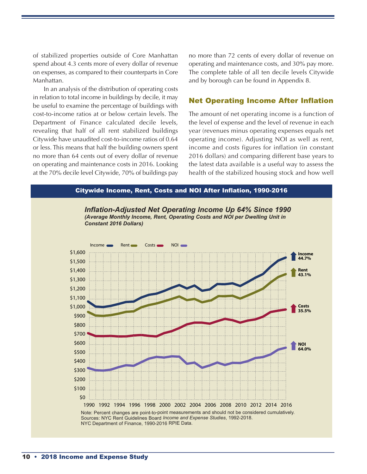of stabilized properties outside of Core Manhattan spend about 4.3 cents more of every dollar of revenue on expenses, as compared to their counterparts in Core Manhattan.

In an analysis of the distribution of operating costs in relation to total income in buildings by decile, it may be useful to examine the percentage of buildings with cost-to-income ratios at or below certain levels. The Department of Finance calculated decile levels, revealing that half of all rent stabilized buildings Citywide have unaudited cost-to-income ratios of 0.64 or less. This means that half the building owners spent no more than 64 cents out of every dollar of revenue on operating and maintenance costs in 2016. Looking at the 70% decile level Citywide, 70% of buildings pay

no more than 72 cents of every dollar of revenue on operating and maintenance costs, and 30% pay more. The complete table of all ten decile levels Citywide and by borough can be found in Appendix 8.

#### Net Operating Income After Inflation

The amount of net operating income is a function of the level of expense and the level of revenue in each year (revenues minus operating expenses equals net operating income). Adjusting NOI as well as rent, income and costs figures for inflation (in constant 2016 dollars) and comparing different base years to the latest data available is a useful way to assess the health of the stabilized housing stock and how well



10 • 2018 Income and Expense Study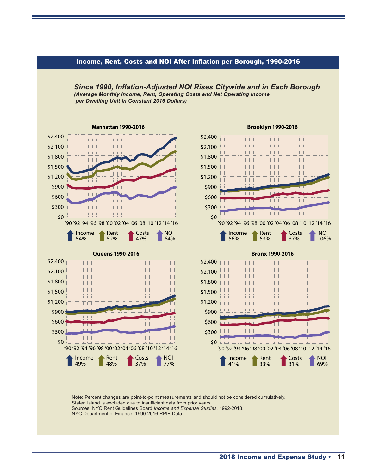

Income, Rent, Costs and NOI After Inflation per Borough, 1990-2016

*Since 1990, Inflation-Adjusted NOI Rises Citywide and in Each Borough*

Note: Percent changes are point-to-point measurements and should not be considered cumulatively. Staten Island is excluded due to insufficient data from prior years. Sources: NYC Rent Guidelines Board *Income and Expense Studies*, 1992-2018. NYC Department of Finance, 1990-2016 RPIE Data.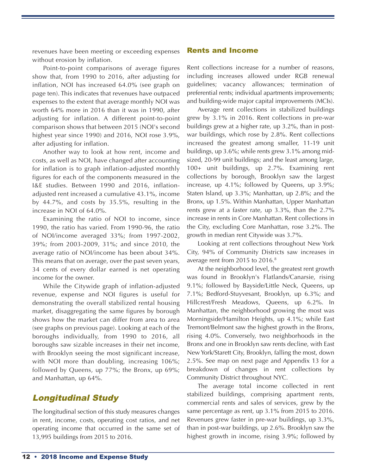revenues have been meeting or exceeding expenses without erosion by inflation.

Point-to-point comparisons of average figures show that, from 1990 to 2016, after adjusting for inflation, NOI has increased 64.0% (see graph on page ten). This indicates that revenues have outpaced expenses to the extent that average monthly NOI was worth 64% more in 2016 than it was in 1990, after adjusting for inflation. A different point-to-point comparison shows that between 2015 (NOI's second highest year since 1990) and 2016, NOI rose 3.9%, after adjusting for inflation.

Another way to look at how rent, income and costs, as well as NOI, have changed after accounting for inflation is to graph inflation-adjusted monthly figures for each of the components measured in the I&E studies. Between 1990 and 2016, inflationadjusted rent increased a cumulative 43.1%, income by 44.7%, and costs by 35.5%, resulting in the increase in NOI of 64.0%.

Examining the ratio of NOI to income, since 1990, the ratio has varied. From 1990-96, the ratio of NOI/income averaged 33%; from 1997-2002, 39%; from 2003-2009, 31%; and since 2010, the average ratio of NOI/income has been about 34%. This means that on average, over the past seven years, 34 cents of every dollar earned is net operating income for the owner.

While the Citywide graph of inflation-adjusted revenue, expense and NOI figures is useful for demonstrating the overall stabilized rental housing market, disaggregating the same figures by borough shows how the market can differ from area to area (see graphs on previous page). Looking at each of the boroughs individually, from 1990 to 2016, all boroughs saw sizable increases in their net income, with Brooklyn seeing the most significant increase, with NOI more than doubling, increasing 106%; followed by Queens, up 77%; the Bronx, up 69%; and Manhattan, up 64%.

# Longitudinal Study

The longitudinal section of this study measures changes in rent, income, costs, operating cost ratios, and net operating income that occurred in the same set of 13,995 buildings from 2015 to 2016.

#### Rents and Income

Rent collections increase for a number of reasons, including increases allowed under RGB renewal guidelines; vacancy allowances; termination of preferential rents; individual apartments improvements; and building-wide major capital improvements (MCIs).

Average rent collections in stabilized buildings grew by 3.1% in 2016. Rent collections in pre-war buildings grew at a higher rate, up 3.2%, than in postwar buildings, which rose by 2.8%. Rent collections increased the greatest among smaller, 11-19 unit buildings, up 3.6%; while rents grew 3.1% among midsized, 20-99 unit buildings; and the least among large, 100+ unit buildings, up 2.7%. Examining rent collections by borough, Brooklyn saw the largest increase, up 4.1%; followed by Queens, up 3.9%; Staten Island, up 3.3%; Manhattan, up 2.8%; and the Bronx, up 1.5%. Within Manhattan, Upper Manhattan rents grew at a faster rate, up 3.3%, than the 2.7% increase in rents in Core Manhattan. Rent collections in the City, excluding Core Manhattan, rose 3.2%. The growth in median rent Citywide was 3.7%.

Looking at rent collections throughout New York City, 94% of Community Districts saw increases in average rent from 2015 to 2016. 8

At the neighborhood level, the greatest rent growth was found in Brooklyn's Flatlands/Canarsie, rising 9.1%; followed by Bayside/Little Neck, Queens, up 7.1%; Bedford-Stuyvesant, Brooklyn, up 6.3%; and Hillcrest/Fresh Meadows, Queens, up 6.2%. In Manhattan, the neighborhood growing the most was Morningside/Hamilton Heights, up 4.1%; while East Tremont/Belmont saw the highest growth in the Bronx, rising 4.0%. Conversely, two neighborhoods in the Bronx and one in Brooklyn saw rents decline, with East New York/Starett City, Brooklyn, falling the most, down 2.5%. See map on next page and Appendix 13 for a breakdown of changes in rent collections by Community District throughout NYC.

The average total income collected in rent stabilized buildings, comprising apartment rents, commercial rents and sales of services, grew by the same percentage as rent, up 3.1% from 2015 to 2016. Revenues grew faster in pre-war buildings, up 3.3%, than in post-war buildings, up 2.6%. Brooklyn saw the highest growth in income, rising 3.9%; followed by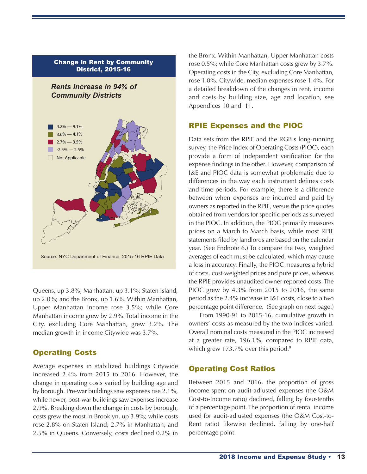

Source: NYC Department of Finance, 2015-16 RPIE Data

Queens, up 3.8%; Manhattan, up 3.1%; Staten Island, up 2.0%; and the Bronx, up 1.6%. Within Manhattan, Upper Manhattan income rose 3.5%; while Core Manhattan income grew by 2.9%. Total income in the City, excluding Core Manhattan, grew 3.2%. The median growth in income Citywide was 3.7%.

### Operating Costs

Average expenses in stabilized buildings Citywide increased 2.4% from 2015 to 2016. However, the change in operating costs varied by building age and by borough. Pre-war buildings saw expenses rise 2.1%, while newer, post-war buildings saw expenses increase 2.9%. Breaking down the change in costs by borough, costs grew the most in Brooklyn, up 3.9%; while costs rose 2.8% on Staten Island; 2.7% in Manhattan; and 2.5% in Queens. Conversely, costs declined 0.2% in

the Bronx. Within Manhattan, Upper Manhattan costs rose 0.5%; while Core Manhattan costs grew by 3.7%. Operating costs in the City, excluding Core Manhattan, rose 1.8%. Citywide, median expenses rose 1.4%. For a detailed breakdown of the changes in rent, income and costs by building size, age and location, see Appendices 10 and 11.

### RPIE Expenses and the PIOC

Data sets from the RPIE and the RGB's long-running survey, the Price Index of Operating Costs (PIOC), each provide a form of independent verification for the expense findings in the other. However, comparison of I&E and PIOC data is somewhat problematic due to differences in the way each instrument defines costs and time periods. For example, there is a difference between when expenses are incurred and paid by owners as reported in the RPIE, versus the price quotes obtained from vendors for specific periods as surveyed in the PIOC. In addition, the PIOC primarily measures prices on a March to March basis, while most RPIE statements filed by landlords are based on the calendar year. (See Endnote 6.) To compare the two, weighted averages of each must be calculated, which may cause a loss in accuracy. Finally, the PIOC measures a hybrid of costs, cost-weighted prices and pure prices, whereas the RPIE provides unaudited owner-reported costs. The PIOC grew by 4.3% from 2015 to 2016, the same period as the 2.4% increase in I&E costs, close to a two percentage point difference. (See graph on next page.)

From 1990-91 to 2015-16, cumulative growth in owners' costs as measured by the two indices varied. Overall nominal costs measured in the PIOC increased at a greater rate, 196.1%, compared to RPIE data, which grew 173.7% over this period. 9

### Operating Cost Ratios

Between 2015 and 2016, the proportion of gross income spent on audit-adjusted expenses (the O&M Cost-to-Income ratio) declined, falling by four-tenths of a percentage point. The proportion of rental income used for audit-adjusted expenses (the O&M Cost-to-Rent ratio) likewise declined, falling by one-half percentage point.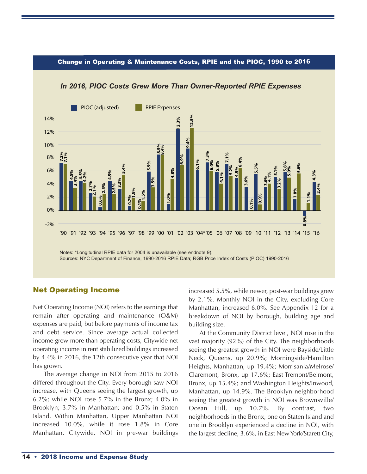#### Change in Operating & Maintenance Costs, RPIE and the PIOC, 1990 to 2016



#### *In 2016, PIOC Costs Grew More Than Owner-Reported RPIE Expenses*

#### Net Operating Income

Net Operating Income (NOI) refers to the earnings that remain after operating and maintenance (O&M) expenses are paid, but before payments of income tax and debt service. Since average actual collected income grew more than operating costs, Citywide net operating income in rent stabilized buildings increased by 4.4% in 2016, the 12th consecutive year that NOI has grown.

The average change in NOI from 2015 to 2016 differed throughout the City. Every borough saw NOI increase, with Queens seeing the largest growth, up 6.2%; while NOI rose 5.7% in the Bronx; 4.0% in Brooklyn; 3.7% in Manhattan; and 0.5% in Staten Island. Within Manhattan, Upper Manhattan NOI increased 10.0%, while it rose 1.8% in Core Manhattan. Citywide, NOI in pre-war buildings

increased 5.5%, while newer, post-war buildings grew by 2.1%. Monthly NOI in the City, excluding Core Manhattan, increased 6.0%. See Appendix 12 for a breakdown of NOI by borough, building age and building size.

At the Community District level, NOI rose in the vast majority (92%) of the City. The neighborhoods seeing the greatest growth in NOI were Bayside/Little Neck, Queens, up 20.9%; Morningside/Hamilton Heights, Manhattan, up 19.4%; Morrisania/Melrose/ Claremont, Bronx, up 17.6%; East Tremont/Belmont, Bronx, up 15.4%; and Washington Heights/Inwood, Manhattan, up 14.9%. The Brooklyn neighborhood seeing the greatest growth in NOI was Brownsville/ Ocean Hill, up 10.7%. By contrast, two neighborhoods in the Bronx, one on Staten Island and one in Brooklyn experienced a decline in NOI, with the largest decline, 3.6%, in East NewYork/Starett City,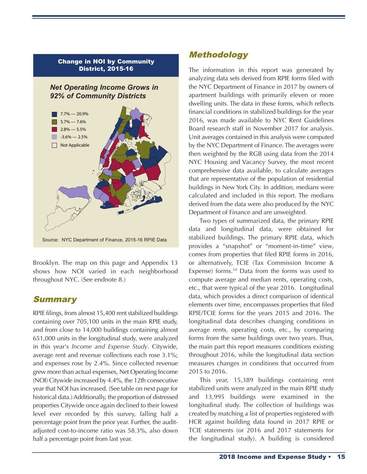

Brooklyn. The map on this page and Appendix 13 shows how NOI varied in each neighborhood throughout NYC. (See endnote 8.)

### **Summary**

RPIE filings, from almost 15,400 rent stabilized buildings containing over 705,100 units in the main RPIE study, and from close to 14,000 buildings containing almost 651,000 units in the longitudinal study, were analyzed in this year's *Income and Expense Study*. Citywide, average rent and revenue collections each rose 3.1%; and expenses rose by 2.4%. Since collected revenue grew more than actual expenses, Net Operating Income (NOI) Citywide increased by 4.4%, the 12th consecutive year that NOI has increased. (See table on next page for historical data.) Additionally, the proportion of distressed properties Citywide once again declined to their lowest level ever recorded by this survey, falling half a percentage point from the prior year. Further, the auditadjusted cost-to-income ratio was 58.3%, also down half a percentage point from last year.

# Methodology

The information in this report was generated by analyzing data sets derived from RPIE forms filed with the NYC Department of Finance in 2017 by owners of apartment buildings with primarily eleven or more dwelling units. The data in these forms, which reflects financial conditions in stabilized buildings for the year 2016, was made available to NYC Rent Guidelines Board research staff in November 2017 for analysis. Unit averages contained in this analysis were computed by the NYC Department of Finance. The averages were then weighted by the RGB using data from the 2014 NYC Housing and Vacancy Survey, the most recent comprehensive data available, to calculate averages that are representative of the population of residential buildings in New York City. In addition, medians were calculated and included in this report. The medians derived from the data were also produced by the NYC Department of Finance and are unweighted.

Two types of summarized data, the primary RPIE data and longitudinal data, were obtained for stabilized buildings. The primary RPIE data, which provides a "snapshot" or "moment-in-time" view, comes from properties that filed RPIE forms in 2016, or alternatively, TCIE (Tax Commission Income & Expense) forms. <sup>10</sup> Data from the forms was used to compute average and median rents, operating costs, etc., that were typical of the year 2016. Longitudinal data, which provides a direct comparison of identical elements over time, encompasses properties that filed RPIE/TCIE forms for the years 2015 and 2016. The longitudinal data describes changing conditions in average rents, operating costs, etc., by comparing forms from the same buildings over two years. Thus, the main part this report measures conditions existing throughout 2016, while the longitudinal data section measures changes in conditions that occurred from 2015 to 2016.

This year, 15,389 buildings containing rent stabilized units were analyzed in the main RPIE study and 13,995 buildings were examined in the longitudinal study. The collection of buildings was created by matching a list of properties registered with HCR against building data found in 2017 RPIE or TCIE statements (or 2016 and 2017 statements for the longitudinal study). A building is considered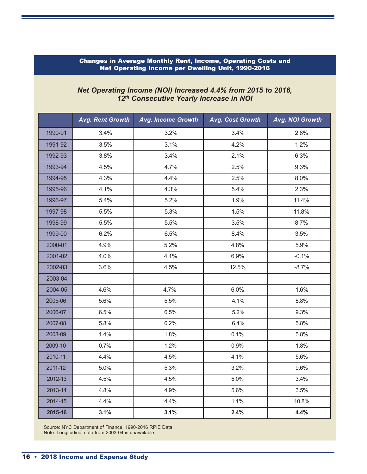#### Changes in Average Monthly Rent, Income, Operating Costs and Net Operating Income per Dwelling Unit, 1990-2016

#### *Net Operating Income (NOI) Increased 4.4% from 2015 to 2016, 12th Consecutive Yearly Increase in NOI*

|         | <b>Avg. Rent Growth</b> | <b>Avg. Income Growth</b> | Avg. Cost Growth | Avg. NOI Growth |
|---------|-------------------------|---------------------------|------------------|-----------------|
| 1990-91 | 3.4%                    | 3.2%                      | 3.4%             | 2.8%            |
| 1991-92 | 3.5%                    | 3.1%                      | 4.2%             | 1.2%            |
| 1992-93 | 3.8%                    | 3.4%                      | 2.1%             | 6.3%            |
| 1993-94 | 4.5%                    | 4.7%                      | 2.5%             | 9.3%            |
| 1994-95 | 4.3%                    | 4.4%                      | 2.5%             | 8.0%            |
| 1995-96 | 4.1%                    | 4.3%                      | 5.4%             | 2.3%            |
| 1996-97 | 5.4%                    | 5.2%                      | 1.9%             | 11.4%           |
| 1997-98 | 5.5%                    | 5.3%                      | 1.5%             | 11.8%           |
| 1998-99 | 5.5%                    | 5.5%                      | 3.5%             | 8.7%            |
| 1999-00 | 6.2%                    | 6.5%                      | 8.4%             | 3.5%            |
| 2000-01 | 4.9%                    | 5.2%                      | 4.8%             | 5.9%            |
| 2001-02 | 4.0%                    | 4.1%                      | 6.9%             | $-0.1%$         |
| 2002-03 | 3.6%                    | 4.5%                      | 12.5%            | $-8.7%$         |
| 2003-04 | $\overline{a}$          | $\overline{a}$            | $\overline{a}$   | $\overline{a}$  |
| 2004-05 | 4.6%                    | 4.7%                      | 6.0%             | 1.6%            |
| 2005-06 | 5.6%                    | 5.5%                      | 4.1%             | 8.8%            |
| 2006-07 | 6.5%                    | 6.5%                      | 5.2%             | 9.3%            |
| 2007-08 | 5.8%                    | 6.2%                      | 6.4%             | 5.8%            |
| 2008-09 | 1.4%                    | 1.8%                      | 0.1%             | 5.8%            |
| 2009-10 | 0.7%                    | 1.2%                      | 0.9%             | 1.8%            |
| 2010-11 | 4.4%                    | 4.5%                      | 4.1%             | 5.6%            |
| 2011-12 | 5.0%                    | 5.3%                      | 3.2%             | 9.6%            |
| 2012-13 | 4.5%                    | 4.5%                      | 5.0%             | 3.4%            |
| 2013-14 | 4.8%                    | 4.9%                      | 5.6%             | 3.5%            |
| 2014-15 | 4.4%                    | 4.4%                      | 1.1%             | 10.8%           |
| 2015-16 | 3.1%                    | 3.1%                      | 2.4%             | 4.4%            |

Source: NYC Department of Finance, 1990-2016 RPIE Data Note: Longitudinal data from 2003-04 is unavailable.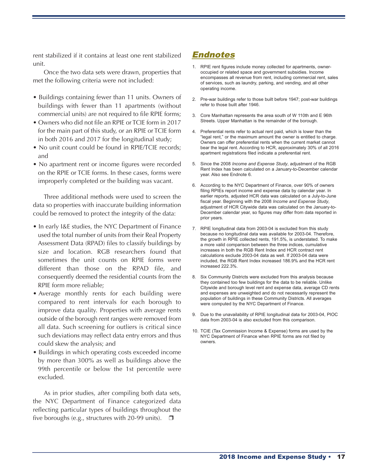rent stabilized if it contains at least one rent stabilized unit.

Once the two data sets were drawn, properties that met the following criteria were not included:

- Buildings containing fewer than 11 units. Owners of buildings with fewer than 11 apartments (without commercial units) are not required to file RPIE forms;
- Owners who did not file an RPIE or TCIE form in 2017 for the main part of this study, or an RPIE or TCIE form in both 2016 and 2017 for the longitudinal study;
- No unit count could be found in RPIE/TCIE records: and
- No apartment rent or income figures were recorded on the RPIE or TCIE forms. In these cases, forms were improperly completed or the building was vacant.

Three additional methods were used to screen the data so properties with inaccurate building information could be removed to protect the integrity of the data:

- In early I&E studies, the NYC Department of Finance used the total number of units from their Real Property Assessment Data (RPAD) files to classify buildings by size and location. RGB researchers found that sometimes the unit counts on RPIE forms were different than those on the RPAD file, and consequently deemed the residential counts from the RPIE form more reliable;
- Average monthly rents for each building were compared to rent intervals for each borough to improve data quality. Properties with average rents outside of the borough rent ranges were removed from all data. Such screening for outliers is critical since such deviations may reflect data entry errors and thus could skew the analysis; and
- Buildings in which operating costs exceeded income by more than 300% as well as buildings above the 99th percentile or below the 1st percentile were excluded.

As in prior studies, after compiling both data sets, the NYC Department of Finance categorized data reflecting particular types of buildings throughout the five boroughs (e.g., structures with 20-99 units).  $\Box$ 

### Endnotes

- 1. RPIE rent figures include money collected for apartments, owneroccupied or related space and government subsidies. Income encompasses all revenue from rent, including commercial rent, sales of services, such as laundry, parking, and vending, and all other operating income.
- 2. Pre-war buildings refer to those built before 1947; post-war buildings refer to those built after 1946.
- 3. Core Manhattan represents the area south of W 110th and E 96th Streets. Upper Manhattan is the remainder of the borough.
- 4. Preferential rents refer to actual rent paid, which is lower than the "legal rent," or the maximum amount the owner is entitled to charge. Owners can offer preferential rents when the current market cannot bear the legal rent. According to HCR, approximately 30% of all 2016 apartment registrations filed indicate a preferential rent.
- 5. Since the 2008 *Income and Expense Study*, adjustment of the RGB Rent Index has been calculated on a January-to-December calendar year. Also see Endnote 6.
- 6. According to the NYC Department of Finance, over 90% of owners filing RPIEs report income and expense data by calendar year. In earlier reports, adjusted HCR data was calculated on a July-to-June fiscal year. Beginning with the 2008 *Income and Expense Study*, adjustment of HCR Citywide data was calculated on the January-to-December calendar year, so figures may differ from data reported in prior years.
- 7. RPIE longitudinal data from 2003-04 is excluded from this study because no longitudinal data was available for 2003-04. Therefore, the growth in RPIE collected rents, 191.5%, is understated. To make a more valid comparison between the three indices, cumulative increases in both the RGB Rent Index and HCR contract rent calculations exclude 2003-04 data as well. If 2003-04 data were included, the RGB Rent Index increased 186.9% and the HCR rent increased 222.3%.
- 8. Six Community Districts were excluded from this analysis because they contained too few buildings for the data to be reliable. Unlike Citywide and borough level rent and expense data, average CD rents and expenses are unweighted and do not necessarily represent the population of buildings in these Community Districts. All averages were computed by the NYC Department of Finance.
- 9. Due to the unavailability of RPIE longitudinal data for 2003-04, PIOC data from 2003-04 is also excluded from this comparison.
- 10. TCIE (Tax Commission Income & Expense) forms are used by the NYC Department of Finance when RPIE forms are not filed by owners.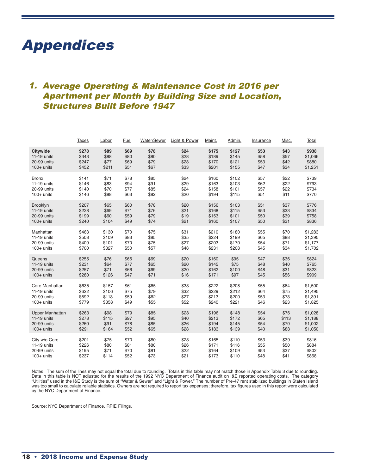# Appendices

# 1. Average Operating & Maintenance Cost in 2016 per Apartment per Month by Building Size and Location, Structures Built Before 1947

|                 | <u>Taxes</u> | Labor | <b>Fuel</b> | Water/Sewer | Light & Power | Maint. | <u>Admin.</u> | Insurance | Misc. | <b>Total</b> |
|-----------------|--------------|-------|-------------|-------------|---------------|--------|---------------|-----------|-------|--------------|
| <b>Citywide</b> | \$278        | \$89  | \$69        | \$78        | \$24          | \$175  | \$127         | \$53      | \$43  | \$938        |
| $11-19$ units   | \$343        | \$88  | \$80        | \$80        | \$28          | \$189  | \$145         | \$58      | \$57  | \$1,066      |
| 20-99 units     | \$247        | \$77  | \$69        | \$79        | \$23          | \$170  | \$121         | \$53      | \$42  | \$880        |
| $100+$ units    | \$452        | \$211 | \$51        | \$67        | \$33          | \$201  | \$155         | \$47      | \$34  | \$1,251      |
| <b>Bronx</b>    | \$141        | \$71  | \$78        | \$85        | \$24          | \$160  | \$102         | \$57      | \$22  | \$739        |
| 11-19 units     | \$146        | \$83  | \$94        | \$91        | \$29          | \$163  | \$103         | \$62      | \$22  | \$793        |
| 20-99 units     | \$140        | \$70  | \$77        | \$85        | \$24          | \$158  | \$101         | \$57      | \$22  | \$734        |
| $100+$ units    | \$146        | \$88  | \$63        | \$82        | \$20          | \$194  | \$115         | \$51      | \$11  | \$770        |
| <b>Brooklyn</b> | \$207        | \$65  | \$60        | \$78        | \$20          | \$156  | \$103         | \$51      | \$37  | \$776        |
| 11-19 units     | \$228        | \$69  | \$71        | \$76        | \$21          | \$168  | \$115         | \$53      | \$33  | \$834        |
| 20-99 units     | \$199        | \$60  | \$59        | \$79        | \$19          | \$153  | \$101         | \$50      | \$39  | \$758        |
| $100+$ units    | \$240        | \$104 | \$49        | \$74        | \$21          | \$160  | \$107         | \$50      | \$31  | \$836        |
| Manhattan       | \$463        | \$130 | \$70        | \$75        | \$31          | \$210  | \$180         | \$55      | \$70  | \$1,283      |
| 11-19 units     | \$508        | \$109 | \$83        | \$85        | \$35          | \$224  | \$199         | \$65      | \$88  | \$1,395      |
| 20-99 units     | \$409        | \$101 | \$70        | \$75        | \$27          | \$203  | \$170         | \$54      | \$71  | \$1,177      |
| $100+$ units    | \$700        | \$327 | \$50        | \$57        | \$48          | \$231  | \$208         | \$45      | \$34  | \$1,702      |
| Queens          | \$255        | \$76  | \$66        | \$69        | \$20          | \$160  | \$95          | \$47      | \$36  | \$824        |
| 11-19 units     | \$231        | \$64  | \$77        | \$65        | \$20          | \$145  | \$75          | \$48      | \$40  | \$765        |
| 20-99 units     | \$257        | \$71  | \$66        | \$69        | \$20          | \$162  | \$100         | \$48      | \$31  | \$823        |
| $100+$ units    | \$280        | \$126 | \$47        | \$71        | \$16          | \$171  | \$97          | \$45      | \$56  | \$909        |
| Core Manhattan  | \$635        | \$157 | \$61        | \$65        | \$33          | \$222  | \$208         | \$55      | \$64  | \$1,500      |
| 11-19 units     | \$622        | \$106 | \$75        | \$79        | \$32          | \$229  | \$212         | \$64      | \$75  | \$1,495      |
| 20-99 units     | \$592        | \$113 | \$59        | \$62        | \$27          | \$213  | \$200         | \$53      | \$73  | \$1,391      |
| $100+$ units    | \$779        | \$358 | \$49        | \$55        | \$52          | \$240  | \$221         | \$46      | \$23  | \$1,825      |
| Upper Manhattan | \$263        | \$98  | \$79        | \$85        | \$28          | \$196  | \$148         | \$54      | \$76  | \$1,028      |
| 11-19 units     | \$278        | \$115 | \$97        | \$95        | \$40          | \$213  | \$172         | \$65      | \$113 | \$1,188      |
| 20-99 units     | \$260        | \$91  | \$78        | \$85        | \$26          | \$194  | \$145         | \$54      | \$70  | \$1,002      |
| $100+$ units    | \$291        | \$164 | \$52        | \$65        | \$28          | \$183  | \$139         | \$40      | \$88  | \$1,050      |
| City w/o Core   | \$201        | \$75  | \$70        | \$80        | \$23          | \$165  | \$110         | \$53      | \$39  | \$816        |
| 11-19 units     | \$226        | \$80  | \$81        | \$80        | \$26          | \$171  | \$116         | \$55      | \$50  | \$884        |
| 20-99 units     | \$195        | \$71  | \$70        | \$81        | \$22          | \$164  | \$109         | \$53      | \$37  | \$802        |
| $100+$ units    | \$237        | \$114 | \$52        | \$73        | \$21          | \$173  | \$110         | \$48      | \$41  | \$868        |

Notes: The sum of the lines may not equal the total due to rounding. Totals in this table may not match those in Appendix Table 3 due to rounding. Data in this table is NOT adjusted for the results of the 1992 NYC Department of Finance audit on I&E reported operating costs. The category "Utilities" used in the I&E Study is the sum of "Water & Sewer" and "Light & Power." The number of Pre-47 rent stabilized buildings in Staten Island was too small to calculate reliable statistics. Owners are not required to report tax expenses; therefore, tax figures used in this report were calculated by the NYC Department of Finance.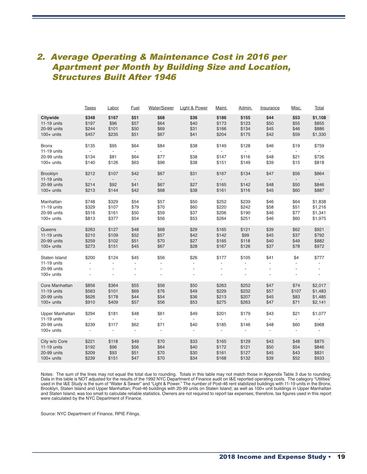### 2. Average Operating & Maintenance Cost in 2016 per Apartment per Month by Building Size and Location, Structures Built After 1946

|                                                             | <b>Taxes</b>                                        | Labor                                                     | Fuel                                               | Water/Sewer                                              | Light & Power                | Maint.                                          | Admin.                              | <b>Insurance</b>                   | Misc.                                            | Total                   |
|-------------------------------------------------------------|-----------------------------------------------------|-----------------------------------------------------------|----------------------------------------------------|----------------------------------------------------------|------------------------------|-------------------------------------------------|-------------------------------------|------------------------------------|--------------------------------------------------|-------------------------|
| <b>Citywide</b>                                             | \$348                                               | \$167                                                     | \$51                                               | \$68                                                     | \$36                         | \$186                                           | \$155                               | \$44                               | \$53                                             | \$1,108                 |
| 11-19 units                                                 | \$197                                               | \$96                                                      | \$57                                               | \$64                                                     | \$40                         | \$173                                           | \$123                               | \$50                               | \$55                                             | \$855                   |
| 20-99 units                                                 | \$244                                               | \$101                                                     | \$50                                               | \$69                                                     | \$31                         | \$166                                           | \$134                               | \$45                               | \$46                                             | \$886                   |
| $100+$ units                                                | \$457                                               | \$235                                                     | \$51                                               | \$67                                                     | \$41                         | \$204                                           | \$175                               | \$42                               | \$59                                             | \$1,330                 |
| <b>Bronx</b><br>11-19 units<br>20-99 units<br>$100+$ units  | \$135<br>\$134<br>\$140                             | \$95<br>$\overline{\phantom{a}}$<br>\$81<br>\$126         | \$64<br>\$64<br>\$63                               | \$84<br>\$77<br>\$96                                     | \$38<br>\$38<br>\$38         | \$149<br>\$147<br>\$151                         | \$128<br>\$116<br>\$149             | \$46<br>\$48<br>\$39               | \$19<br>٠<br>\$21<br>\$15                        | \$759<br>\$726<br>\$818 |
| Brooklyn<br>$11-19$ units<br>20-99 units<br>$100+$ units    | \$212<br>\$214<br>\$213                             | \$107<br>$\overline{a}$<br>\$92<br>\$144                  | \$42<br>\$41<br>\$42                               | \$67<br>\$67<br>\$68                                     | \$31<br>\$27<br>\$38         | \$167<br>\$165<br>\$161                         | \$134<br>\$142<br>\$116             | \$47<br>\$48<br>\$45               | \$56<br>$\overline{\phantom{a}}$<br>\$50<br>\$60 | \$864<br>\$846<br>\$887 |
| Manhattan                                                   | \$748                                               | \$329                                                     | \$54                                               | \$57                                                     | \$50                         | \$252                                           | \$239                               | \$46                               | \$64                                             | \$1,838                 |
| 11-19 units                                                 | \$329                                               | \$107                                                     | \$79                                               | \$70                                                     | \$60                         | \$220                                           | \$242                               | \$58                               | \$51                                             | \$1,216                 |
| 20-99 units                                                 | \$516                                               | \$161                                                     | \$50                                               | \$59                                                     | \$37                         | \$206                                           | \$190                               | \$46                               | \$77                                             | \$1,341                 |
| $100+$ units                                                | \$813                                               | \$377                                                     | \$54                                               | \$56                                                     | \$53                         | \$264                                           | \$251                               | \$46                               | \$60                                             | \$1,975                 |
| Queens                                                      | \$263                                               | \$127                                                     | \$48                                               | \$68                                                     | \$29                         | \$165                                           | \$121                               | \$39                               | \$62                                             | \$921                   |
| 11-19 units                                                 | \$210                                               | \$109                                                     | \$52                                               | \$57                                                     | \$42                         | \$142                                           | \$99                                | \$45                               | \$37                                             | \$792                   |
| 20-99 units                                                 | \$259                                               | \$102                                                     | \$51                                               | \$70                                                     | \$27                         | \$165                                           | \$118                               | \$40                               | \$49                                             | \$882                   |
| $100+$ units                                                | \$273                                               | \$151                                                     | \$45                                               | \$67                                                     | \$28                         | \$167                                           | \$126                               | \$37                               | \$78                                             | \$972                   |
| Staten Island<br>11-19 units<br>20-99 units<br>$100+$ units | \$200<br>$\overline{a}$<br>$\overline{\phantom{a}}$ | \$124<br>$\blacksquare$<br>$\overline{\phantom{a}}$<br>÷, | \$45<br>$\blacksquare$<br>$\overline{\phantom{a}}$ | \$56<br>÷,<br>$\overline{\phantom{a}}$<br>$\overline{a}$ | \$26<br>L.<br>$\overline{a}$ | \$177<br>÷,<br>$\overline{a}$<br>$\overline{a}$ | \$105<br>÷,<br>$\overline{a}$<br>J. | \$41<br>÷,<br>$\blacksquare$<br>÷, | \$4<br>٠<br>$\overline{\phantom{a}}$             | \$777<br>÷,<br>÷.       |
| Core Manhattan                                              | \$856                                               | \$364                                                     | \$55                                               | \$56                                                     | \$50                         | \$263                                           | \$252                               | \$47                               | \$74                                             | \$2,017                 |
| $11-19$ units                                               | \$563                                               | \$101                                                     | \$69                                               | \$76                                                     | \$49                         | \$229                                           | \$232                               | \$57                               | \$107                                            | \$1,483                 |
| 20-99 units                                                 | \$626                                               | \$178                                                     | \$44                                               | \$54                                                     | \$36                         | \$213                                           | \$207                               | \$45                               | \$83                                             | \$1,485                 |
| $100+$ units                                                | \$910                                               | \$409                                                     | \$57                                               | \$56                                                     | \$53                         | \$275                                           | \$263                               | \$47                               | \$71                                             | \$2,141                 |
| <b>Upper Manhattan</b>                                      | \$294                                               | \$181                                                     | \$48                                               | \$61                                                     | \$49                         | \$201                                           | \$179                               | \$43                               | \$21                                             | \$1,077                 |
| 11-19 units                                                 | $\overline{\phantom{a}}$                            | $\overline{\phantom{a}}$                                  | $\overline{\phantom{a}}$                           | $\overline{\phantom{a}}$                                 | ٠                            | $\overline{\phantom{a}}$                        | Ĭ.                                  | $\overline{\phantom{a}}$           | $\overline{\phantom{a}}$                         | $\overline{a}$          |
| 20-99 units                                                 | \$239                                               | \$117                                                     | \$62                                               | \$71                                                     | \$40                         | \$185                                           | \$146                               | \$48                               | \$60                                             | \$968                   |
| $100+$ units                                                | $\blacksquare$                                      | $\overline{\phantom{a}}$                                  | $\overline{\phantom{a}}$                           | $\blacksquare$                                           | $\overline{a}$               | $\blacksquare$                                  | $\blacksquare$                      | $\overline{\phantom{a}}$           | $\overline{\phantom{a}}$                         | $\blacksquare$          |
| City w/o Core                                               | \$221                                               | \$118                                                     | \$49                                               | \$70                                                     | \$33                         | \$165                                           | \$129                               | \$43                               | \$48                                             | \$875                   |
| 11-19 units                                                 | \$192                                               | \$96                                                      | \$56                                               | \$64                                                     | \$40                         | \$172                                           | \$121                               | \$50                               | \$54                                             | \$846                   |
| 20-99 units                                                 | \$209                                               | \$93                                                      | \$51                                               | \$70                                                     | \$30                         | \$161                                           | \$127                               | \$45                               | \$43                                             | \$831                   |
| $100+$ units                                                | \$239                                               | \$151                                                     | \$47                                               | \$70                                                     | \$34                         | \$168                                           | \$132                               | \$39                               | \$52                                             | \$933                   |

Notes: The sum of the lines may not equal the total due to rounding. Totals in this table may not match those in Appendix Table 3 due to rounding. Data in this table is NOT adjusted for the results of the 1992 NYC Department of Finance audit on I&E reported operating costs. The category "Utilities" used in the I&E Study is the sum of "Water & Sewer" and "Light & Power." The number of Post-46 rent stabilized buildings with 11-19 units in the Bronx, Brooklyn, Staten Island and Upper Manhattan; Post-46 buildings with 20-99 units on Staten Island; as well as 100+ unit buildings in Upper Manhattan and Staten Island, was too small to calculate reliable statistics. Owners are not required to report tax expenses; therefore, tax figures used in this report were calculated by the NYC Department of Finance.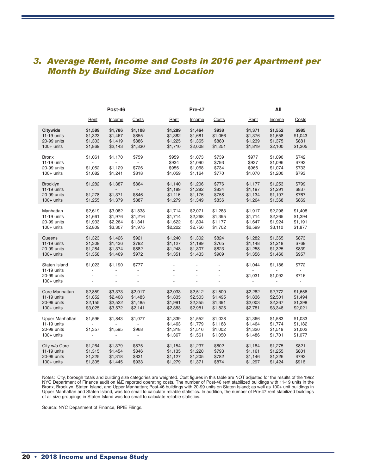## 3. Average Rent, Income and Costs in 2016 per Apartment per Month by Building Size and Location

|                                                               |                                                | Post-46                                                                                     |                                                                       |                                          | Pre-47                                             |                                                  | All                                      |                                          |                                                  |  |
|---------------------------------------------------------------|------------------------------------------------|---------------------------------------------------------------------------------------------|-----------------------------------------------------------------------|------------------------------------------|----------------------------------------------------|--------------------------------------------------|------------------------------------------|------------------------------------------|--------------------------------------------------|--|
|                                                               | Rent                                           | Income                                                                                      | Costs                                                                 | Rent                                     | Income                                             | Costs                                            | Rent                                     | Income                                   | <b>Costs</b>                                     |  |
| <b>Citywide</b>                                               | \$1,589                                        | \$1,786                                                                                     | \$1,108                                                               | \$1,289                                  | \$1,464                                            | \$938                                            | \$1,371                                  | \$1,552                                  | \$985                                            |  |
| 11-19 units                                                   | \$1,323                                        | \$1,467                                                                                     | \$855                                                                 | \$1,382                                  | \$1,681                                            | \$1,066                                          | \$1,376                                  | \$1,658                                  | \$1,043                                          |  |
| 20-99 units                                                   | \$1,303                                        | \$1,419                                                                                     | \$886                                                                 | \$1,225                                  | \$1,365                                            | \$880                                            | \$1,239                                  | \$1,375                                  | \$881                                            |  |
| $100+$ units                                                  | \$1,869                                        | \$2,143                                                                                     | \$1,330                                                               | \$1,710                                  | \$2,008                                            | \$1,251                                          | \$1,819                                  | \$2,100                                  | \$1,305                                          |  |
| <b>Bronx</b>                                                  | \$1,061                                        | \$1,170                                                                                     | \$759                                                                 | \$959                                    | \$1,073                                            | \$739                                            | \$977                                    | \$1,090                                  | \$742                                            |  |
| 11-19 units                                                   | $\overline{\phantom{0}}$                       | $\overline{\phantom{a}}$                                                                    | $\mathcal{L}_{\mathcal{A}}$                                           | \$934                                    | \$1,090                                            | \$793                                            | \$937                                    | \$1,096                                  | \$793                                            |  |
| 20-99 units                                                   | \$1,052                                        | \$1,129                                                                                     | \$726                                                                 | \$956                                    | \$1,068                                            | \$734                                            | \$966                                    | \$1,074                                  | \$733                                            |  |
| $100+$ units                                                  | \$1,082                                        | \$1,241                                                                                     | \$818                                                                 | \$1,059                                  | \$1,164                                            | \$770                                            | \$1,070                                  | \$1,200                                  | \$793                                            |  |
| Brooklyn                                                      | \$1,282                                        | \$1,387                                                                                     | \$864                                                                 | \$1,140                                  | \$1,206                                            | \$776                                            | \$1,177                                  | \$1,253                                  | \$799                                            |  |
| 11-19 units                                                   | $\overline{\phantom{a}}$                       | $\sim$                                                                                      | $\overline{\phantom{a}}$                                              | \$1,189                                  | \$1,282                                            | \$834                                            | \$1,197                                  | \$1,291                                  | \$837                                            |  |
| 20-99 units                                                   | \$1,278                                        | \$1,371                                                                                     | \$846                                                                 | \$1,116                                  | \$1,176                                            | \$758                                            | \$1,134                                  | \$1,197                                  | \$767                                            |  |
| $100+$ units                                                  | \$1,255                                        | \$1,379                                                                                     | \$887                                                                 | \$1,279                                  | \$1,349                                            | \$836                                            | \$1,264                                  | \$1,368                                  | \$869                                            |  |
| Manhattan                                                     | \$2,619                                        | \$3,082                                                                                     | \$1,838                                                               | \$1,714                                  | \$2,071                                            | \$1,283                                          | \$1,917                                  | \$2,298                                  | \$1,408                                          |  |
| 11-19 units                                                   | \$1,661                                        | \$1,976                                                                                     | \$1,216                                                               | \$1,714                                  | \$2,268                                            | \$1,395                                          | \$1,714                                  | \$2,265                                  | \$1,394                                          |  |
| 20-99 units                                                   | \$1,933                                        | \$2,264                                                                                     | \$1,341                                                               | \$1,622                                  | \$1,894                                            | \$1,177                                          | \$1,647                                  | \$1,924                                  | \$1,191                                          |  |
| $100+$ units                                                  | \$2,809                                        | \$3,307                                                                                     | \$1,975                                                               | \$2,222                                  | \$2,756                                            | \$1,702                                          | \$2,599                                  | \$3,110                                  | \$1,877                                          |  |
| Queens                                                        | \$1,323                                        | \$1,426                                                                                     | \$921                                                                 | \$1,240                                  | \$1,302                                            | \$824                                            | \$1,282                                  | \$1,365                                  | \$873                                            |  |
| 11-19 units                                                   | \$1,308                                        | \$1,436                                                                                     | \$792                                                                 | \$1,127                                  | \$1,189                                            | \$765                                            | \$1,148                                  | \$1,218                                  | \$768                                            |  |
| 20-99 units                                                   | \$1,284                                        | \$1,374                                                                                     | \$882                                                                 | \$1,248                                  | \$1,307                                            | \$823                                            | \$1,258                                  | \$1,325                                  | \$839                                            |  |
| $100+$ units                                                  | \$1,358                                        | \$1,469                                                                                     | \$972                                                                 | \$1,351                                  | \$1,433                                            | \$909                                            | \$1,356                                  | \$1,460                                  | \$957                                            |  |
| Staten Island<br>11-19 units<br>20-99 units<br>$100+$ units   | \$1,023<br>$\overline{a}$                      | \$1,190<br>$\overline{\phantom{a}}$<br>$\overline{\phantom{a}}$<br>$\overline{\phantom{a}}$ | \$777<br>$\blacksquare$<br>$\overline{\phantom{a}}$<br>$\overline{a}$ | ÷.                                       | $\blacksquare$<br>$\overline{a}$<br>$\overline{a}$ | $\blacksquare$<br>$\overline{\phantom{a}}$<br>÷, | \$1,044<br>\$1,031                       | \$1,186<br>\$1,092<br>$\blacksquare$     | \$772<br>$\blacksquare$<br>\$716<br>$\mathbf{r}$ |  |
| Core Manhattan                                                | \$2,859                                        | \$3,373                                                                                     | \$2,017                                                               | \$2,033                                  | \$2,512                                            | \$1,500                                          | \$2,282                                  | \$2,772                                  | \$1,656                                          |  |
| 11-19 units                                                   | \$1,852                                        | \$2,408                                                                                     | \$1,483                                                               | \$1,835                                  | \$2,503                                            | \$1,495                                          | \$1,836                                  | \$2,501                                  | \$1,494                                          |  |
| 20-99 units                                                   | \$2,155                                        | \$2,522                                                                                     | \$1,485                                                               | \$1,991                                  | \$2,355                                            | \$1,391                                          | \$2,003                                  | \$2,367                                  | \$1,398                                          |  |
| $100+$ units                                                  | \$3,025                                        | \$3,572                                                                                     | \$2,141                                                               | \$2,383                                  | \$2,981                                            | \$1,825                                          | \$2,781                                  | \$3,348                                  | \$2,021                                          |  |
| Upper Manhattan<br>11-19 units<br>20-99 units<br>$100+$ units | \$1,596<br>\$1,357<br>$\overline{\phantom{a}}$ | \$1,843<br>\$1,595<br>$\blacksquare$                                                        | \$1,077<br>$\sim$<br>\$968<br>$\overline{\phantom{a}}$                | \$1,339<br>\$1,463<br>\$1,318<br>\$1,367 | \$1,552<br>\$1,779<br>\$1,516<br>\$1,561           | \$1,028<br>\$1,188<br>\$1,002<br>\$1,050         | \$1,366<br>\$1,464<br>\$1,320<br>\$1,486 | \$1,583<br>\$1,774<br>\$1,519<br>\$1,701 | \$1,033<br>\$1,182<br>\$1,002<br>\$1,077         |  |
| City w/o Core                                                 | \$1,264                                        | \$1,379                                                                                     | \$875                                                                 | \$1,154                                  | \$1,237                                            | \$802                                            | \$1,184                                  | \$1,275                                  | \$821                                            |  |
| 11-19 units                                                   | \$1,315                                        | \$1,454                                                                                     | \$846                                                                 | \$1,135                                  | \$1,220                                            | \$793                                            | \$1,161                                  | \$1,255                                  | \$801                                            |  |
| 20-99 units                                                   | \$1,225                                        | \$1,318                                                                                     | \$831                                                                 | \$1,127                                  | \$1,205                                            | \$782                                            | \$1,146                                  | \$1,226                                  | \$792                                            |  |
| $100+$ units                                                  | \$1,305                                        | \$1,445                                                                                     | \$933                                                                 | \$1,279                                  | \$1,371                                            | \$874                                            | \$1,297                                  | \$1,424                                  | \$916                                            |  |

Notes: City, borough totals and building size categories are weighted. Cost figures in this table are NOT adjusted for the results of the 1992 NYC Department of Finance audit on I&E reported operating costs. The number of Post-46 rent stabilized buildings with 11-19 units in the Bronx, Brooklyn, Staten Island, and Upper Manhattan; Post-46 buildings with 20-99 units on Staten Island; as well as 100+ unit buildings in Upper Manhattan and Staten Island, was too small to calculate reliable statistics. In addition, the number of Pre-47 rent stabilized buildings of all size groupings in Staten Island was too small to calculate reliable statistics.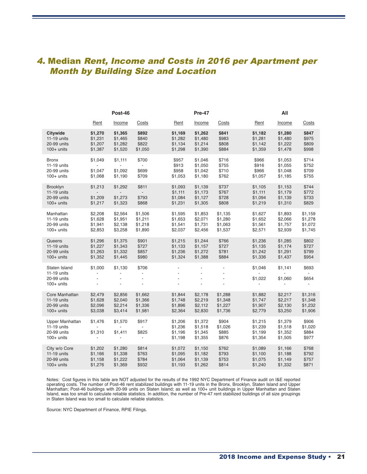## 4. Median Rent, Income and Costs in 2016 per Apartment per Month by Building Size and Location

|                                                                 | Post-46                              |                                                |                                                      |                                          | <b>Pre-47</b>                                              |                                                             |                                          | All                                            |                                                              |  |  |
|-----------------------------------------------------------------|--------------------------------------|------------------------------------------------|------------------------------------------------------|------------------------------------------|------------------------------------------------------------|-------------------------------------------------------------|------------------------------------------|------------------------------------------------|--------------------------------------------------------------|--|--|
|                                                                 | Rent                                 | Income                                         | Costs                                                | Rent                                     | Income                                                     | Costs                                                       | Rent                                     | Income                                         | <b>Costs</b>                                                 |  |  |
| Citywide                                                        | \$1,270                              | \$1,365                                        | \$892                                                | \$1,169                                  | \$1,262                                                    | \$841                                                       | \$1,182                                  | \$1,280                                        | \$847                                                        |  |  |
| 11-19 units                                                     | \$1,231                              | \$1,465                                        | \$840                                                | \$1,282                                  | \$1,480                                                    | \$983                                                       | \$1,281                                  | \$1,480                                        | \$975                                                        |  |  |
| 20-99 units                                                     | \$1,207                              | \$1,282                                        | \$822                                                | \$1,134                                  | \$1,214                                                    | \$808                                                       | \$1,142                                  | \$1,222                                        | \$809                                                        |  |  |
| $100+$ units                                                    | \$1,387                              | \$1,520                                        | \$1,050                                              | \$1,298                                  | \$1,390                                                    | \$884                                                       | \$1,359                                  | \$1,478                                        | \$998                                                        |  |  |
| <b>Bronx</b>                                                    | \$1,049                              | \$1,111                                        | \$700                                                | \$957                                    | \$1,046                                                    | \$716                                                       | \$966                                    | \$1,053                                        | \$714                                                        |  |  |
| $11-19$ units                                                   | $\overline{a}$                       | $\overline{\phantom{a}}$                       | $\overline{\phantom{a}}$                             | \$913                                    | \$1,050                                                    | \$755                                                       | \$916                                    | \$1,055                                        | \$752                                                        |  |  |
| 20-99 units                                                     | \$1.047                              | \$1,092                                        | \$699                                                | \$958                                    | \$1,042                                                    | \$710                                                       | \$966                                    | \$1,048                                        | \$709                                                        |  |  |
| $100+$ units                                                    | \$1,068                              | \$1,190                                        | \$709                                                | \$1,053                                  | \$1,180                                                    | \$762                                                       | \$1,057                                  | \$1,185                                        | \$755                                                        |  |  |
| <b>Brooklyn</b><br>$11-19$ units<br>20-99 units<br>$100+$ units | \$1,213<br>\$1,209<br>\$1,217        | \$1,292<br>\$1,273<br>\$1,323                  | \$811<br>$\mathcal{L}^{\pm}$<br>\$793<br>\$868       | \$1,093<br>\$1,111<br>\$1,084<br>\$1,231 | \$1,139<br>\$1,173<br>\$1,127<br>\$1,305                   | \$737<br>\$767<br>\$728<br>\$808                            | \$1,105<br>\$1,111<br>\$1,094<br>\$1,219 | \$1,153<br>\$1,179<br>\$1,139<br>\$1,310       | \$744<br>\$772<br>\$733<br>\$829                             |  |  |
| Manhattan                                                       | \$2,208                              | \$2,564                                        | \$1,506                                              | \$1,595                                  | \$1,853                                                    | \$1,135                                                     | \$1,627                                  | \$1,893                                        | \$1,159                                                      |  |  |
| 11-19 units                                                     | \$1,628                              | \$1,951                                        | \$1,211                                              | \$1,653                                  | \$2,071                                                    | \$1,280                                                     | \$1,652                                  | \$2,066                                        | \$1,278                                                      |  |  |
| 20-99 units                                                     | \$1,941                              | \$2,138                                        | \$1,218                                              | \$1,541                                  | \$1,731                                                    | \$1,063                                                     | \$1,561                                  | \$1,757                                        | \$1,072                                                      |  |  |
| $100+$ units                                                    | \$2,853                              | \$3,258                                        | \$1,890                                              | \$2,037                                  | \$2,456                                                    | \$1,537                                                     | \$2,571                                  | \$2,939                                        | \$1,745                                                      |  |  |
| Queens                                                          | \$1,296                              | \$1,375                                        | \$901                                                | \$1,215                                  | \$1,244                                                    | \$766                                                       | \$1,236                                  | \$1,285                                        | \$802                                                        |  |  |
| 11-19 units                                                     | \$1,227                              | \$1,343                                        | \$727                                                | \$1,133                                  | \$1,157                                                    | \$727                                                       | \$1,135                                  | \$1,174                                        | \$727                                                        |  |  |
| 20-99 units                                                     | \$1,263                              | \$1,332                                        | \$857                                                | \$1,236                                  | \$1,272                                                    | \$781                                                       | \$1,242                                  | \$1,291                                        | \$799                                                        |  |  |
| $100+$ units                                                    | \$1,352                              | \$1,445                                        | \$980                                                | \$1,324                                  | \$1,388                                                    | \$884                                                       | \$1,336                                  | \$1,437                                        | \$954                                                        |  |  |
| Staten Island<br>11-19 units<br>20-99 units<br>$100+$ units     | \$1,000<br>$\blacksquare$            | \$1,130<br>$\overline{\phantom{a}}$            | \$706<br>$\overline{a}$<br>÷,<br>$\frac{1}{2}$       | $\overline{a}$<br>$\overline{a}$         | $\overline{\phantom{a}}$<br>$\overline{\phantom{a}}$<br>÷, | $\overline{\phantom{a}}$<br>$\blacksquare$<br>$\frac{1}{2}$ | \$1,046<br>\$1,022<br>$\sim$             | \$1,141<br>\$1,060<br>$\overline{\phantom{a}}$ | \$693<br>$\overline{a}$<br>\$654<br>$\overline{\phantom{a}}$ |  |  |
| Core Manhattan                                                  | \$2,479                              | \$2,856                                        | \$1,662                                              | \$1,844                                  | \$2,178                                                    | \$1,288                                                     | \$1,882                                  | \$2,217                                        | \$1,316                                                      |  |  |
| 11-19 units                                                     | \$1,628                              | \$2,040                                        | \$1,366                                              | \$1,748                                  | \$2,219                                                    | \$1,348                                                     | \$1,747                                  | \$2,217                                        | \$1,348                                                      |  |  |
| 20-99 units                                                     | \$2,096                              | \$2,214                                        | \$1,336                                              | \$1,896                                  | \$2,112                                                    | \$1,227                                                     | \$1,907                                  | \$2,130                                        | \$1,232                                                      |  |  |
| $100+$ units                                                    | \$3,038                              | \$3,414                                        | \$1,981                                              | \$2,364                                  | \$2,830                                                    | \$1,736                                                     | \$2,779                                  | \$3,250                                        | \$1,906                                                      |  |  |
| Upper Manhattan<br>11-19 units<br>20-99 units<br>$100+$ units   | \$1,476<br>\$1,310<br>$\blacksquare$ | \$1,570<br>\$1,411<br>$\overline{\phantom{a}}$ | \$917<br>$\sim$<br>\$825<br>$\overline{\phantom{a}}$ | \$1,206<br>\$1,236<br>\$1,196<br>\$1,198 | \$1,372<br>\$1,518<br>\$1,345<br>\$1,355                   | \$904<br>\$1,026<br>\$885<br>\$876                          | \$1,215<br>\$1,239<br>\$1,199<br>\$1,354 | \$1,379<br>\$1,518<br>\$1,352<br>\$1,505       | \$906<br>\$1,020<br>\$884<br>\$977                           |  |  |
| City w/o Core                                                   | \$1,202                              | \$1,280                                        | \$814                                                | \$1,072                                  | \$1,150                                                    | \$762                                                       | \$1,089                                  | \$1,166                                        | \$768                                                        |  |  |
| 11-19 units                                                     | \$1,166                              | \$1,338                                        | \$763                                                | \$1,095                                  | \$1,182                                                    | \$793                                                       | \$1,100                                  | \$1,188                                        | \$792                                                        |  |  |
| 20-99 units                                                     | \$1,158                              | \$1,222                                        | \$784                                                | \$1,064                                  | \$1,139                                                    | \$753                                                       | \$1,075                                  | \$1,149                                        | \$757                                                        |  |  |
| $100+$ units                                                    | \$1,276                              | \$1,369                                        | \$932                                                | \$1,193                                  | \$1,262                                                    | \$814                                                       | \$1,240                                  | \$1,332                                        | \$871                                                        |  |  |

Notes: Cost figures in this table are NOT adjusted for the results of the 1992 NYC Department of Finance audit on I&E reported operating costs. The number of Post-46 rent stabilized buildings with 11-19 units in the Bronx, Brooklyn, Staten Island and Upper Manhattan; Post-46 buildings with 20-99 units on Staten Island; as well as 100+ unit buildings in Upper Manhattan and Staten Island, was too small to calculate reliable statistics. In addition, the number of Pre-47 rent stabilized buildings of all size groupings in Staten Island was too small to calculate reliable statistics.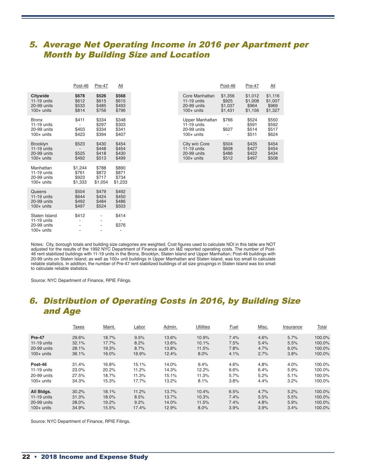### 5. Average Net Operating Income in 2016 per Apartment per Month by Building Size and Location

|                                                                 | Post-46                              | Pre-47                                                                                | <u>All</u>                                       |
|-----------------------------------------------------------------|--------------------------------------|---------------------------------------------------------------------------------------|--------------------------------------------------|
| <b>Citywide</b><br>$11-19$ units<br>20-99 units<br>$100+$ units | \$678<br>\$612<br>\$533<br>\$814     | \$526<br>\$615<br>\$485<br>\$756                                                      | \$568<br>\$615<br>\$493<br>\$796                 |
| <b>Bronx</b><br>$11-19$ units<br>20-99 units<br>$100+$ units    | \$411<br>\$403<br>\$423              | \$334<br>\$297<br>\$334<br>\$394                                                      | \$348<br>\$303<br>\$341<br>\$407                 |
| <b>Brooklyn</b><br>$11-19$ units<br>20-99 units<br>$100+$ units | \$523<br>\$525<br>\$492              | \$430<br>\$448<br>\$418<br>\$513                                                      | \$454<br>\$454<br>\$430<br>\$499                 |
| Manhattan<br>$11-19$ units<br>20-99 units<br>$100+$ units       | \$1,244<br>\$761<br>\$923<br>\$1,333 | \$788<br>\$872<br>\$717<br>\$1,054                                                    | \$890<br>\$871<br>\$734<br>\$1,233               |
| Queens<br>$11-19$ units<br>20-99 units<br>$100+$ units          | \$504<br>\$644<br>\$492<br>\$497     | \$479<br>\$424<br>\$484<br>\$524                                                      | \$492<br>\$450<br>\$486<br>\$503                 |
| Staten Island<br>$11-19$ units<br>20-99 units<br>$100+$ units   | \$412<br>$\overline{a}$              | ٠<br>$\overline{\phantom{a}}$<br>$\overline{\phantom{a}}$<br>$\overline{\phantom{0}}$ | \$414<br>$\overline{\phantom{a}}$<br>\$376<br>÷, |

|                                                                 | Post-46                          | Pre-47                           | All                              |
|-----------------------------------------------------------------|----------------------------------|----------------------------------|----------------------------------|
|                                                                 | \$678<br>\$612<br>\$533<br>\$814 | \$526<br>\$615<br>\$485<br>\$756 | \$568<br>\$615<br>\$493<br>\$796 |
| $11-19$ units<br>20-99 units<br>100+ units                      | \$411<br>\$403<br>\$423          | \$334<br>\$297<br>\$334<br>\$394 | \$348<br>\$303<br>\$341<br>\$407 |
| <b>Brooklyn</b><br>$11-19$ units<br>20-99 units<br>$100+$ units | \$523<br>\$525<br>\$492          | \$430<br>\$448<br>\$418<br>\$513 | \$454<br>\$454<br>\$430<br>\$499 |

Notes: City, borough totals and building size categories are weighted. Cost figures used to calculate NOI in this table are NOT adjusted for the results of the 1992 NYC Department of Finance audit on I&E reported operating costs. The number of Post-46 rent stabilized buildings with 11-19 units in the Bronx, Brooklyn, Staten Island and Upper Manhattan; Post-46 buildings with 20-99 units on Staten Island; as well as 100+ unit buildings in Upper Manhattan and Staten Island, was too small to calculate reliable statistics. In addition, the number of Pre-47 rent stabilized buildings of all size groupings in Staten Island was too small to calculate reliable statistics.

Source: NYC Department of Finance, RPIE Filings.

# 6. Distribution of Operating Costs in 2016, by Building Size and Age

|               | <b>Taxes</b> | Maint. | Labor | Admin. | <b>Utilities</b> | Fuel | Misc. | Insurance | <u>Total</u> |
|---------------|--------------|--------|-------|--------|------------------|------|-------|-----------|--------------|
| Pre-47        | 29.6%        | 18.7%  | 9.5%  | 13.6%  | 10.9%            | 7.4% | 4.6%  | 5.7%      | 100.0%       |
| $11-19$ units | 32.1%        | 17.7%  | 8.2%  | 13.6%  | 10.1%            | 7.5% | 5.4%  | 5.5%      | 100.0%       |
| 20-99 units   | 28.1%        | 19.3%  | 8.7%  | 13.8%  | 11.5%            | 7.8% | 4.7%  | 6.0%      | 100.0%       |
| $100+$ units  | 36.1%        | 16.0%  | 16.9% | 12.4%  | 8.0%             | 4.1% | 2.7%  | 3.8%      | 100.0%       |
| Post-46       | 31.4%        | 16.8%  | 15.1% | 14.0%  | 9.4%             | 4.6% | 4.8%  | 4.0%      | 100.0%       |
| 11-19 units   | 23.0%        | 20.2%  | 11.2% | 14.3%  | 12.2%            | 6.6% | 6.4%  | 5.9%      | 100.0%       |
| 20-99 units   | 27.5%        | 18.7%  | 11.3% | 15.1%  | 11.3%            | 5.7% | 5.2%  | 5.1%      | 100.0%       |
| $100+$ units  | 34.3%        | 15.3%  | 17.7% | 13.2%  | 8.1%             | 3.8% | 4.4%  | 3.2%      | 100.0%       |
| All Bldgs.    | 30.2%        | 18.1%  | 11.2% | 13.7%  | 10.4%            | 6.5% | 4.7%  | 5.2%      | 100.0%       |
| $11-19$ units | 31.3%        | 18.0%  | 8.5%  | 13.7%  | 10.3%            | 7.4% | 5.5%  | 5.5%      | $100.0\%$    |
| 20-99 units   | 28.0%        | 19.2%  | 9.2%  | 14.0%  | 11.5%            | 7.4% | 4.8%  | 5.9%      | 100.0%       |
| $100+$ units  | 34.9%        | 15.5%  | 17.4% | 12.9%  | 8.0%             | 3.9% | 3.9%  | 3.4%      | 100.0%       |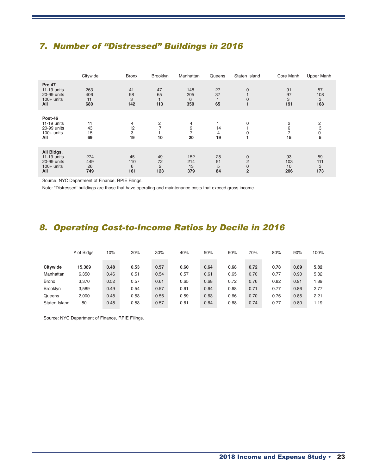## 7. Number of "Distressed" Buildings in 2016

|                                                                 | Citywide                | <b>Bronx</b>          | Brooklyn             | Manhattan               | Queens              | Staten Island                                                  | Core Manh                 | <b>Upper Manh</b>     |
|-----------------------------------------------------------------|-------------------------|-----------------------|----------------------|-------------------------|---------------------|----------------------------------------------------------------|---------------------------|-----------------------|
| Pre-47<br>11-19 units<br>20-99 units<br>$100+$ units<br>All     | 263<br>406<br>11<br>680 | 41<br>98<br>3<br>142  | 47<br>65<br>113      | 148<br>205<br>6<br>359  | 27<br>37<br>65      | $\mathbf 0$<br>$\mathbf{0}$                                    | 91<br>97<br>3<br>191      | 57<br>108<br>3<br>168 |
| Post-46<br>11-19 units<br>20-99 units<br>$100+$ units<br>All    | 11<br>43<br>15<br>69    | 4<br>12<br>3<br>19    | 2<br>10              | 4<br>9<br>20            | 14<br>4<br>19       | 0<br>0                                                         | $\overline{2}$<br>6<br>15 | 2<br>3<br>5           |
| All Bldgs.<br>11-19 units<br>20-99 units<br>$100+$ units<br>All | 274<br>449<br>26<br>749 | 45<br>110<br>6<br>161 | 49<br>72<br>2<br>123 | 152<br>214<br>13<br>379 | 28<br>51<br>5<br>84 | $\mathbf 0$<br>$\overline{2}$<br>$\mathbf 0$<br>$\overline{2}$ | 93<br>103<br>10<br>206    | 59<br>111<br>3<br>173 |

Source: NYC Department of Finance, RPIE Filings.

Note: "Distressed' buildings are those that have operating and maintenance costs that exceed gross income.

## 8. Operating Cost-to-Income Ratios by Decile in 2016

|                 | # of Bldgs | 10%  | 20%  | 30%  | 40%  | 50%  | 60%  | 70%  | 80%  | 90%  | 100% |
|-----------------|------------|------|------|------|------|------|------|------|------|------|------|
|                 |            |      |      |      |      |      |      |      |      |      |      |
| Citywide        | 15,389     | 0.48 | 0.53 | 0.57 | 0.60 | 0.64 | 0.68 | 0.72 | 0.78 | 0.89 | 5.82 |
| Manhattan       | 6,350      | 0.46 | 0.51 | 0.54 | 0.57 | 0.61 | 0.65 | 0.70 | 0.77 | 0.90 | 5.82 |
| <b>Bronx</b>    | 3,370      | 0.52 | 0.57 | 0.61 | 0.65 | 0.68 | 0.72 | 0.76 | 0.82 | 0.91 | 1.89 |
| <b>Brooklyn</b> | 3,589      | 0.49 | 0.54 | 0.57 | 0.61 | 0.64 | 0.68 | 0.71 | 0.77 | 0.86 | 2.77 |
| Queens          | 2,000      | 0.48 | 0.53 | 0.56 | 0.59 | 0.63 | 0.66 | 0.70 | 0.76 | 0.85 | 2.21 |
| Staten Island   | 80         | 0.48 | 0.53 | 0.57 | 0.61 | 0.64 | 0.68 | 0.74 | 0.77 | 0.80 | 1.19 |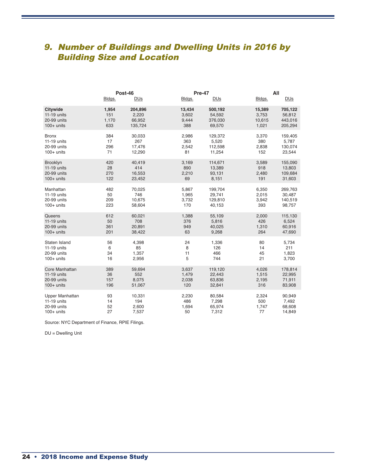# 9. Number of Buildings and Dwelling Units in 2016 by Building Size and Location

|                 | Bldgs. | Post-46<br><b>DU<sub>S</sub></b> | Bldgs. | Pre-47<br><b>DU<sub>S</sub></b> | Bldgs. | All<br><b>DU<sub>S</sub></b> |
|-----------------|--------|----------------------------------|--------|---------------------------------|--------|------------------------------|
| <b>Citywide</b> | 1,954  | 204,896                          | 13,434 | 500,192                         | 15,389 | 705,122                      |
| 11-19 units     | 151    | 2,220                            | 3,602  | 54,592                          | 3,753  | 56,812                       |
| 20-99 units     | 1,170  | 66,952                           | 9,444  | 376,030                         | 10,615 | 443,016                      |
| $100+$ units    | 633    | 135,724                          | 388    | 69,570                          | 1,021  | 205,294                      |
| <b>Bronx</b>    | 384    | 30,033                           | 2,986  | 129,372                         | 3,370  | 159,405                      |
| 11-19 units     | 17     | 267                              | 363    | 5,520                           | 380    | 5,787                        |
| 20-99 units     | 296    | 17,476                           | 2,542  | 112,598                         | 2,838  | 130,074                      |
| $100+$ units    | 71     | 12,290                           | 81     | 11,254                          | 152    | 23,544                       |
| Brooklyn        | 420    | 40,419                           | 3,169  | 114,671                         | 3,589  | 155,090                      |
| 11-19 units     | 28     | 414                              | 890    | 13,389                          | 918    | 13,803                       |
| 20-99 units     | 270    | 16,553                           | 2,210  | 93,131                          | 2,480  | 109,684                      |
| $100+$ units    | 122    | 23,452                           | 69     | 8,151                           | 191    | 31,603                       |
| Manhattan       | 482    | 70,025                           | 5,867  | 199,704                         | 6,350  | 269,763                      |
| 11-19 units     | 50     | 746                              | 1,965  | 29,741                          | 2,015  | 30,487                       |
| 20-99 units     | 209    | 10,675                           | 3,732  | 129,810                         | 3,942  | 140,519                      |
| $100+$ units    | 223    | 58,604                           | 170    | 40,153                          | 393    | 98,757                       |
| Queens          | 612    | 60,021                           | 1,388  | 55,109                          | 2,000  | 115,130                      |
| 11-19 units     | 50     | 708                              | 376    | 5,816                           | 426    | 6,524                        |
| 20-99 units     | 361    | 20,891                           | 949    | 40,025                          | 1,310  | 60,916                       |
| $100+$ units    | 201    | 38,422                           | 63     | 9,268                           | 264    | 47,690                       |
| Staten Island   | 56     | 4,398                            | 24     | 1,336                           | 80     | 5,734                        |
| 11-19 units     | 6      | 85                               | 8      | 126                             | 14     | 211                          |
| 20-99 units     | 34     | 1,357                            | 11     | 466                             | 45     | 1,823                        |
| $100+$ units    | 16     | 2,956                            | 5      | 744                             | 21     | 3,700                        |
| Core Manhattan  | 389    | 59,694                           | 3,637  | 119,120                         | 4,026  | 178,814                      |
| 11-19 units     | 36     | 552                              | 1,479  | 22,443                          | 1,515  | 22,995                       |
| 20-99 units     | 157    | 8,075                            | 2,038  | 63,836                          | 2,195  | 71,911                       |
| $100+$ units    | 196    | 51,067                           | 120    | 32,841                          | 316    | 83,908                       |
| Upper Manhattan | 93     | 10,331                           | 2,230  | 80,584                          | 2,324  | 90,949                       |
| 11-19 units     | 14     | 194                              | 486    | 7,298                           | 500    | 7,492                        |
| 20-99 units     | 52     | 2,600                            | 1,694  | 65,974                          | 1,747  | 68,608                       |
| $100+$ units    | 27     | 7,537                            | 50     | 7,312                           | 77     | 14,849                       |

Source: NYC Department of Finance, RPIE Filings.

DU = Dwelling Unit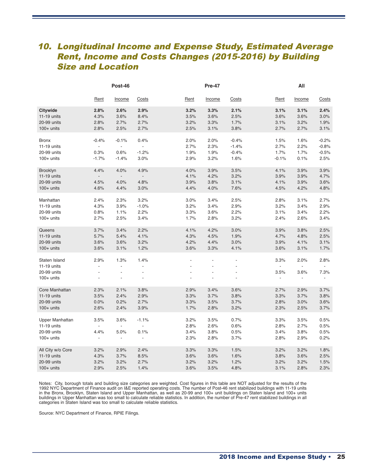## 10. Longitudinal Income and Expense Study, Estimated Average Rent, Income and Costs Changes (2015-2016) by Building Size and Location

|                                                             | Post-46                  |                                                    |                              |                                  | <b>Pre-47</b>  |                |                                          | All                                                                  |                                |  |
|-------------------------------------------------------------|--------------------------|----------------------------------------------------|------------------------------|----------------------------------|----------------|----------------|------------------------------------------|----------------------------------------------------------------------|--------------------------------|--|
|                                                             | Rent                     | Income                                             | <b>Costs</b>                 | <b>Rent</b>                      | Income         | Costs          | <b>Rent</b>                              | Income                                                               | Costs                          |  |
| Citywide                                                    | 2.8%                     | 2.6%                                               | 2.9%                         | 3.2%                             | 3.3%           | 2.1%           | 3.1%                                     | 3.1%                                                                 | 2.4%                           |  |
| 11-19 units                                                 | 4.3%                     | 3.6%                                               | 8.4%                         | 3.5%                             | 3.6%           | 2.5%           | 3.6%                                     | 3.6%                                                                 | 3.0%                           |  |
| 20-99 units                                                 | 2.8%                     | 2.7%                                               | 2.7%                         | 3.2%                             | 3.3%           | 1.7%           | 3.1%                                     | 3.2%                                                                 | 1.9%                           |  |
| $100+$ units                                                | 2.8%                     | 2.5%                                               | 2.7%                         | 2.5%                             | 3.1%           | 3.8%           | 2.7%                                     | 2.7%                                                                 | 3.1%                           |  |
| <b>Bronx</b>                                                | $-0.4%$                  | $-0.1%$                                            | 0.4%                         | 2.0%                             | 2.0%           | $-0.4%$        | 1.5%                                     | 1.6%                                                                 | $-0.2%$                        |  |
| 11-19 units                                                 | $\overline{\phantom{a}}$ | $\overline{\phantom{a}}$                           | $\overline{a}$               | 2.7%                             | 2.3%           | $-1.4%$        | 2.7%                                     | 2.2%                                                                 | $-0.8%$                        |  |
| 20-99 units                                                 | 0.3%                     | 0.6%                                               | $-1.2%$                      | 1.9%                             | 1.9%           | $-0.4%$        | 1.7%                                     | 1.7%                                                                 | $-0.5%$                        |  |
| $100+$ units                                                | $-1.7%$                  | $-1.4%$                                            | 3.0%                         | 2.9%                             | 3.2%           | 1.6%           | $-0.1%$                                  | 0.1%                                                                 | 2.5%                           |  |
| Brooklyn                                                    | 4.4%                     | 4.0%                                               | 4.9%                         | 4.0%                             | 3.9%           | 3.5%           | 4.1%                                     | 3.9%                                                                 | 3.9%                           |  |
| 11-19 units                                                 | $\overline{\phantom{a}}$ | $\overline{\phantom{a}}$                           | $\overline{\phantom{0}}$     | 4.1%                             | 4.2%           | 3.2%           | 3.9%                                     | 3.9%                                                                 | 4.7%                           |  |
| 20-99 units                                                 | 4.5%                     | 4.0%                                               | 4.8%                         | 3.9%                             | 3.8%           | 3.1%           | 4.1%                                     | 3.9%                                                                 | 3.6%                           |  |
| $100+$ units                                                | 4.6%                     | 4.4%                                               | 3.0%                         | 4.4%                             | 4.0%           | 7.6%           | 4.5%                                     | 4.2%                                                                 | 4.8%                           |  |
| Manhattan                                                   | 2.4%                     | 2.3%                                               | 3.2%                         | 3.0%                             | 3.4%           | 2.5%           | 2.8%                                     | 3.1%                                                                 | 2.7%                           |  |
| 11-19 units                                                 | 4.3%                     | 3.9%                                               | $-1.0%$                      | 3.2%                             | 3.4%           | 2.9%           | 3.2%                                     | 3.4%                                                                 | 2.9%                           |  |
| 20-99 units                                                 | 0.8%                     | 1.1%                                               | 2.2%                         | 3.3%                             | 3.6%           | 2.2%           | 3.1%                                     | 3.4%                                                                 | 2.2%                           |  |
| $100+$ units                                                | 2.7%                     | 2.5%                                               | 3.4%                         | 1.7%                             | 2.8%           | 3.2%           | 2.4%                                     | 2.6%                                                                 | 3.4%                           |  |
| Queens                                                      | 3.7%                     | 3.4%                                               | 2.2%                         | 4.1%                             | 4.2%           | 3.0%           | 3.9%                                     | 3.8%                                                                 | 2.5%                           |  |
| 11-19 units                                                 | 5.7%                     | 5.4%                                               | 4.1%                         | 4.3%                             | 4.5%           | 1.9%           | 4.7%                                     | 4.8%                                                                 | 2.5%                           |  |
| 20-99 units                                                 | 3.6%                     | 3.6%                                               | 3.2%                         | 4.2%                             | 4.4%           | 3.0%           | 3.9%                                     | 4.1%                                                                 | 3.1%                           |  |
| $100+$ units                                                | 3.6%                     | 3.1%                                               | 1.2%                         | 3.6%                             | 3.3%           | 4.1%           | 3.6%                                     | 3.1%                                                                 | 1.7%                           |  |
| Staten Island<br>11-19 units<br>20-99 units<br>$100+$ units | 2.9%<br>L.<br>÷,         | 1.3%<br>$\overline{a}$<br>$\overline{\phantom{a}}$ | 1.4%<br>ä,<br>$\overline{a}$ | $\overline{a}$<br>$\overline{a}$ | $\overline{a}$ | $\overline{a}$ | 3.3%<br>3.5%<br>$\overline{\phantom{a}}$ | 2.0%<br>$\overline{\phantom{a}}$<br>3.6%<br>$\overline{\phantom{a}}$ | 2.8%<br>7.3%<br>$\blacksquare$ |  |
| Core Manhattan                                              | 2.3%                     | 2.1%                                               | 3.8%                         | 2.9%                             | 3.4%           | 3.6%           | 2.7%                                     | 2.9%                                                                 | 3.7%                           |  |
| 11-19 units                                                 | 3.5%                     | 2.4%                                               | 2.9%                         | 3.3%                             | 3.7%           | 3.8%           | 3.3%                                     | 3.7%                                                                 | 3.8%                           |  |
| 20-99 units                                                 | 0.0%                     | 0.2%                                               | 2.7%                         | 3.3%                             | 3.5%           | 3.7%           | 2.8%                                     | 3.0%                                                                 | 3.6%                           |  |
| $100+$ units                                                | 2.6%                     | 2.4%                                               | 3.9%                         | 1.7%                             | 2.8%           | 3.2%           | 2.3%                                     | 2.5%                                                                 | 3.7%                           |  |
| <b>Upper Manhattan</b>                                      | 3.5%                     | 3.6%                                               | $-1.1%$                      | 3.2%                             | 3.5%           | 0.7%           | 3.3%                                     | 3.5%                                                                 | 0.5%                           |  |
| 11-19 units                                                 | $\overline{a}$           | $\blacksquare$                                     | $\blacksquare$               | 2.8%                             | 2.6%           | 0.6%           | 2.8%                                     | 2.7%                                                                 | 0.5%                           |  |
| 20-99 units                                                 | 4.4%                     | 5.0%                                               | 0.1%                         | 3.4%                             | 3.8%           | 0.5%           | 3.4%                                     | 3.8%                                                                 | 0.5%                           |  |
| $100+$ units                                                | ÷,                       | $\blacksquare$                                     | $\overline{\phantom{a}}$     | 2.3%                             | 2.8%           | 3.7%           | 2.8%                                     | 2.9%                                                                 | 0.2%                           |  |
| All City w/o Core                                           | 3.2%                     | 2.9%                                               | 2.4%                         | 3.3%                             | 3.3%           | 1.5%           | 3.2%                                     | 3.2%                                                                 | 1.8%                           |  |
| 11-19 units                                                 | 4.3%                     | 3.7%                                               | 8.5%                         | 3.6%                             | 3.6%           | 1.6%           | 3.8%                                     | 3.6%                                                                 | 2.5%                           |  |
| 20-99 units                                                 | 3.2%                     | 3.2%                                               | 2.7%                         | 3.2%                             | 3.2%           | 1.2%           | 3.2%                                     | 3.2%                                                                 | 1.5%                           |  |
| $100+$ units                                                | 2.9%                     | 2.5%                                               | 1.4%                         | 3.6%                             | 3.5%           | 4.8%           | 3.1%                                     | 2.8%                                                                 | 2.3%                           |  |

Notes: City, borough totals and building size categories are weighted. Cost figures in this table are NOT adjusted for the results of the 1992 NYC Department of Finance audit on I&E reported operating costs. The number of Post-46 rent stabilized buildings with 11-19 units in the Bronx, Brooklyn, Staten Island and Upper Manhattan, as well as 20-99 and 100+ unit buildings on Staten Island and 100+ units buildings in Upper Manhattan was too small to calculate reliable statistics. In addition, the number of Pre-47 rent stabilized buildings in all categories in Staten Island was too small to calculate reliable statistics.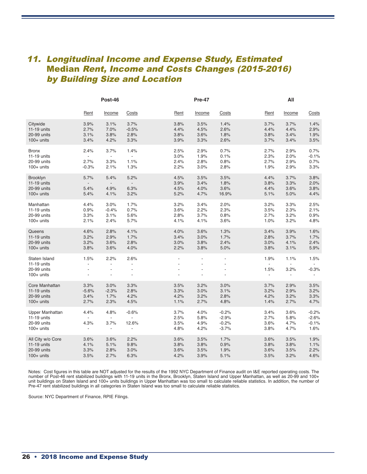# 11. Longitudinal Income and Expense Study, Estimated Median Rent, Income and Costs Changes (2015-2016) by Building Size and Location

|                                                                 |                                          | Post-46                                       |                                                  |                              | <b>Pre-47</b>                |                                          |                               | All                          |                                       |
|-----------------------------------------------------------------|------------------------------------------|-----------------------------------------------|--------------------------------------------------|------------------------------|------------------------------|------------------------------------------|-------------------------------|------------------------------|---------------------------------------|
|                                                                 | Rent                                     | Income                                        | Costs                                            | Rent                         | Income                       | Costs                                    | Rent                          | Income                       | Costs                                 |
| Citywide<br>11-19 units<br>20-99 units<br>$100+$ units          | 3.9%<br>2.7%<br>3.1%<br>3.4%             | 3.1%<br>7.0%<br>3.8%<br>4.2%                  | 3.7%<br>$-0.5%$<br>2.8%<br>3.3%                  | 3.8%<br>4.4%<br>3.8%<br>3.9% | 3.5%<br>4.5%<br>3.6%<br>3.3% | 1.4%<br>2.6%<br>1.8%<br>2.6%             | 3.7%<br>4.4%<br>3.8%<br>3.7%  | 3.7%<br>4.4%<br>3.4%<br>3.4% | 1.4%<br>2.9%<br>1.9%<br>3.5%          |
| <b>Bronx</b><br>11-19 units<br>20-99 units<br>$100+$ units      | 2.4%<br>2.7%<br>$-0.3%$                  | 3.7%<br>$\overline{a}$<br>3.3%<br>2.1%        | 1.4%<br>$\frac{1}{2}$<br>1.1%<br>1.3%            | 2.5%<br>3.0%<br>2.4%<br>2.2% | 2.9%<br>1.9%<br>2.8%<br>3.0% | 0.7%<br>0.1%<br>0.8%<br>2.8%             | 2.7%<br>2.3%<br>2.7%<br>1.9%  | 2.9%<br>2.0%<br>2.9%<br>2.9% | 0.7%<br>$-0.1%$<br>0.7%<br>3.3%       |
| Brooklyn<br>$11-19$ units<br>20-99 units<br>$100+$ units        | 5.7%<br>5.4%<br>5.4%                     | 5.4%<br>$\overline{a}$<br>4.9%<br>4.1%        | 5.2%<br>$\overline{\phantom{a}}$<br>6.3%<br>3.2% | 4.5%<br>3.9%<br>4.5%<br>5.2% | 3.5%<br>3.4%<br>4.0%<br>4.7% | 3.5%<br>1.8%<br>3.6%<br>16.9%            | 4.4%<br>3.8%<br>4.4%<br>5.1%  | 3.7%<br>3.3%<br>3.6%<br>5.0% | 3.8%<br>2.0%<br>3.8%<br>4.4%          |
| Manhattan<br>11-19 units<br>20-99 units<br>$100+$ units         | 4.4%<br>0.9%<br>3.3%<br>2.1%             | 3.0%<br>$-0.4%$<br>3.1%<br>2.4%               | 1.7%<br>0.7%<br>5.6%<br>5.7%                     | 3.2%<br>3.6%<br>2.8%<br>4.1% | 3.4%<br>2.2%<br>3.7%<br>4.1% | 2.0%<br>2.3%<br>0.8%<br>3.6%             | 3.2%<br>3.5%<br>2.7%<br>1.0%  | 3.3%<br>2.3%<br>3.2%<br>3.2% | 2.5%<br>2.1%<br>0.9%<br>4.8%          |
| Queens<br>11-19 units<br>20-99 units<br>$100+$ units            | 4.6%<br>3.2%<br>3.2%<br>3.8%             | 2.8%<br>2.9%<br>3.6%<br>3.6%                  | 4.1%<br>1.7%<br>2.8%<br>4.0%                     | 4.0%<br>3.4%<br>3.0%<br>2.2% | 3.6%<br>3.0%<br>3.8%<br>3.8% | 1.3%<br>1.7%<br>2.4%<br>5.0%             | 3.4%<br>2.8%<br>3.0%<br>3.8%  | 3.9%<br>3.7%<br>4.1%<br>3.1% | 1.6%<br>1.7%<br>2.4%<br>5.9%          |
| Staten Island<br>11-19 units<br>20-99 units<br>$100+$ units     | 1.5%<br>$\overline{a}$<br>$\overline{a}$ | 2.2%<br>$\frac{1}{2}$<br>$\overline{a}$<br>÷, | 2.6%<br>ä,                                       |                              |                              |                                          | 1.9%<br>1.5%<br>$\frac{1}{2}$ | 1.1%<br>3.2%                 | 1.5%<br>$-0.3%$                       |
| Core Manhattan<br>$11-19$ units<br>20-99 units<br>$100+$ units  | 3.3%<br>$-5.6%$<br>3.4%<br>2.7%          | 3.0%<br>$-2.3%$<br>1.7%<br>2.3%               | 3.3%<br>2.8%<br>4.2%<br>4.5%                     | 3.5%<br>3.3%<br>4.2%<br>1.1% | 3.2%<br>3.0%<br>3.2%<br>2.7% | 3.0%<br>3.1%<br>2.8%<br>4.8%             | 3.7%<br>3.2%<br>4.2%<br>1.4%  | 2.9%<br>2.9%<br>3.2%<br>2.7% | 3.5%<br>3.2%<br>3.3%<br>4.7%          |
| Upper Manhattan<br>11-19 units<br>20-99 units<br>$100+$ units   | 4.4%<br>4.3%<br>÷,                       | 4.8%<br>$\Box$<br>3.7%<br>$\frac{1}{2}$       | $-0.6%$<br>$\blacksquare$<br>12.6%<br>÷,         | 3.7%<br>2.5%<br>3.5%<br>4.8% | 4.0%<br>5.8%<br>4.9%<br>4.2% | $-0.2%$<br>$-2.9%$<br>$-0.2%$<br>$-3.7%$ | 3.4%<br>2.7%<br>3.6%<br>3.8%  | 3.6%<br>5.8%<br>4.7%<br>4.7% | $-0.2%$<br>$-2.6%$<br>$-0.1%$<br>1.6% |
| All City w/o Core<br>11-19 units<br>20-99 units<br>$100+$ units | 3.6%<br>4.1%<br>3.3%<br>3.5%             | 3.6%<br>5.1%<br>2.8%<br>2.7%                  | 2.2%<br>9.8%<br>3.0%<br>6.3%                     | 3.6%<br>3.8%<br>3.6%<br>4.2% | 3.5%<br>3.8%<br>3.5%<br>3.9% | 1.7%<br>0.9%<br>1.9%<br>5.1%             | 3.6%<br>3.8%<br>3.6%<br>3.5%  | 3.5%<br>3.8%<br>3.5%<br>3.2% | 1.9%<br>1.1%<br>2.2%<br>4.6%          |

Notes: Cost figures in this table are NOT adjusted for the results of the 1992 NYC Department of Finance audit on I&E reported operating costs. The number of Post-46 rent stabilized buildings with 11-19 units in the Bronx, Brooklyn, Staten Island and Upper Manhattan, as well as 20-99 and 100+ unit buildings on Staten Island and 100+ units buildings in Upper Manhattan was too small to calculate reliable statistics. In addition, the number of Pre-47 rent stabilized buildings in all categories in Staten Island was too small to calculate reliable statistics.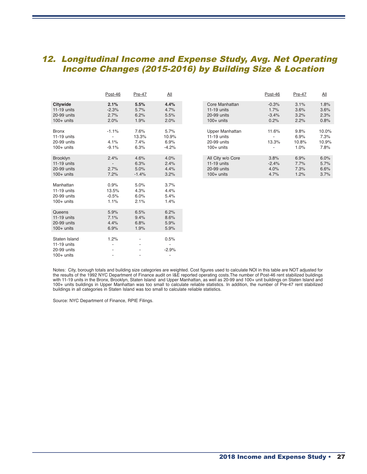# 12. Longitudinal Income and Expense Study, Avg. Net Operating Income Changes (2015-2016) by Building Size & Location

|                                                                 | Post-46                          | Pre-47                          | <u>All</u>                       |                                                                        | Post-46                            | Pre-47                        | <u>All</u>                     |
|-----------------------------------------------------------------|----------------------------------|---------------------------------|----------------------------------|------------------------------------------------------------------------|------------------------------------|-------------------------------|--------------------------------|
| <b>Citywide</b><br>$11-19$ units<br>20-99 units<br>$100+$ units | 2.1%<br>$-2.3%$<br>2.7%<br>2.0%  | 5.5%<br>5.7%<br>6.2%<br>1.9%    | 4.4%<br>4.7%<br>5.5%<br>2.0%     | Core Manhattan<br>$11-19$ units<br>20-99 units<br>$100+$ units         | $-0.3%$<br>1.7%<br>$-3.4%$<br>0.2% | 3.1%<br>3.6%<br>3.2%<br>2.2%  | 1.8%<br>3.6%<br>2.3%<br>0.8%   |
| <b>Bronx</b><br>11-19 units<br>20-99 units<br>$100+$ units      | $-1.1%$<br>4.1%<br>$-9.1%$       | 7.6%<br>13.3%<br>7.4%<br>6.3%   | 5.7%<br>10.9%<br>6.9%<br>$-4.2%$ | <b>Upper Manhattan</b><br>$11-19$ units<br>20-99 units<br>$100+$ units | 11.6%<br>13.3%                     | 9.8%<br>6.9%<br>10.8%<br>1.0% | 10.0%<br>7.3%<br>10.9%<br>7.8% |
| <b>Brooklyn</b><br>$11-19$ units<br>20-99 units<br>$100+$ units | 2.4%<br>2.7%<br>7.2%             | 4.6%<br>6.3%<br>5.0%<br>$-1.4%$ | 4.0%<br>2.4%<br>4.4%<br>3.2%     | All City w/o Core<br>$11-19$ units<br>20-99 units<br>$100+$ units      | 3.8%<br>$-2.4%$<br>4.0%<br>4.7%    | 6.9%<br>7.7%<br>7.3%<br>1.2%  | 6.0%<br>5.7%<br>6.6%<br>3.7%   |
| Manhattan<br>11-19 units<br>20-99 units<br>$100+$ units         | 0.9%<br>13.5%<br>$-0.5%$<br>1.1% | 5.0%<br>4.3%<br>6.0%<br>2.1%    | 3.7%<br>4.4%<br>5.4%<br>1.4%     |                                                                        |                                    |                               |                                |
| Queens<br>$11-19$ units<br>20-99 units<br>$100+$ units          | 5.9%<br>7.1%<br>4.4%<br>6.9%     | 6.5%<br>9.4%<br>6.8%<br>1.9%    | 6.2%<br>8.6%<br>5.9%<br>5.9%     |                                                                        |                                    |                               |                                |
| Staten Island<br>11-19 units<br>20-99 units<br>$100+$ units     | 1.2%                             | $\overline{\phantom{a}}$        | 0.5%<br>$-2.9%$                  |                                                                        |                                    |                               |                                |

|                                                               | Post-46                         | Pre-47                          | All                              |                                                                   | Post-46                            | Pre-47                        | All                            |
|---------------------------------------------------------------|---------------------------------|---------------------------------|----------------------------------|-------------------------------------------------------------------|------------------------------------|-------------------------------|--------------------------------|
| Citywide<br>11-19 units<br>20-99 units<br>$100+$ units        | 2.1%<br>$-2.3%$<br>2.7%<br>2.0% | 5.5%<br>5.7%<br>6.2%<br>1.9%    | 4.4%<br>4.7%<br>5.5%<br>2.0%     | Core Manhattan<br>$11-19$ units<br>20-99 units<br>$100+$ units    | $-0.3%$<br>1.7%<br>$-3.4%$<br>0.2% | 3.1%<br>3.6%<br>3.2%<br>2.2%  | 1.8%<br>3.6%<br>2.3%<br>0.8%   |
| <b>Bronx</b><br>11-19 units<br>20-99 units<br>$100+$ units    | $-1.1%$<br>4.1%<br>$-9.1%$      | 7.6%<br>13.3%<br>7.4%<br>6.3%   | 5.7%<br>10.9%<br>6.9%<br>$-4.2%$ | Upper Manhattan<br>$11-19$ units<br>20-99 units<br>$100+$ units   | 11.6%<br>13.3%                     | 9.8%<br>6.9%<br>10.8%<br>1.0% | 10.0%<br>7.3%<br>10.9%<br>7.8% |
| <b>Brooklyn</b><br>11-19 units<br>20-99 units<br>$100+$ units | 2.4%<br>2.7%<br>7.2%            | 4.6%<br>6.3%<br>5.0%<br>$-1.4%$ | 4.0%<br>2.4%<br>4.4%<br>3.2%     | All City w/o Core<br>$11-19$ units<br>20-99 units<br>$100+$ units | 3.8%<br>$-2.4%$<br>4.0%<br>4.7%    | 6.9%<br>7.7%<br>7.3%<br>1.2%  | 6.0%<br>5.7%<br>6.6%<br>3.7%   |

Notes: City, borough totals and building size categories are weighted. Cost figures used to calculate NOI in this table are NOT adjusted for the results of the 1992 NYC Department of Finance audit on I&E reported operating costs.The number of Post-46 rent stabilized buildings with 11-19 units in the Bronx, Brooklyn, Staten Island and Upper Manhattan, as well as 20-99 and 100+ unit buildings on Staten Island and<br>100+ units buildings in Upper Manhattan was too small to calculate reliable statist buildings in all categories in Staten Island was too small to calculate reliable statistics.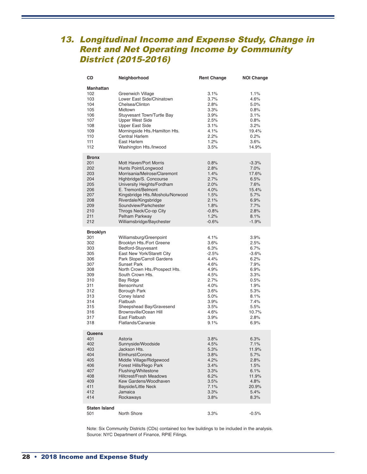# 13. Longitudinal Income and Expense Study, Change in Rent and Net Operating Income by Community District (2015-2016)

| CD                                                                                                                                     | Neighborhood                                                                                                                                                                                                                                                                                                                                                                                   | <b>Rent Change</b>                                                                                                                      | <b>NOI Change</b>                                                                                                                        |
|----------------------------------------------------------------------------------------------------------------------------------------|------------------------------------------------------------------------------------------------------------------------------------------------------------------------------------------------------------------------------------------------------------------------------------------------------------------------------------------------------------------------------------------------|-----------------------------------------------------------------------------------------------------------------------------------------|------------------------------------------------------------------------------------------------------------------------------------------|
| Manhattan<br>102<br>103<br>104<br>105<br>106<br>107<br>108<br>109<br>110<br>111<br>112                                                 | Greenwich Village<br>Lower East Side/Chinatown<br>Chelsea/Clinton<br>Midtown<br>Stuyvesant Town/Turtle Bay<br><b>Upper West Side</b><br><b>Upper East Side</b><br>Morningside Hts./Hamilton Hts.<br>Central Harlem<br>East Harlem<br>Washington Hts./Inwood                                                                                                                                    | 3.1%<br>3.7%<br>2.8%<br>3.3%<br>3.9%<br>2.5%<br>3.1%<br>4.1%<br>2.2%<br>1.2%<br>3.5%                                                    | 1.1%<br>4.6%<br>5.0%<br>0.8%<br>3.1%<br>0.8%<br>3.2%<br>19.4%<br>0.2%<br>3.6%<br>14.9%                                                   |
| <b>Bronx</b><br>201<br>202<br>203<br>204<br>205<br>206<br>207<br>208<br>209<br>210<br>211<br>212                                       | Mott Haven/Port Morris<br>Hunts Point/Longwood<br>Morrisania/Melrose/Claremont<br>Highbridge/S. Concourse<br>University Heights/Fordham<br>E. Tremont/Belmont<br>Kingsbridge Hts./Mosholu/Norwood<br>Riverdale/Kingsbridge<br>Soundview/Parkchester<br>Throgs Neck/Co-op City<br>Pelham Parkway<br>Williamsbridge/Baychester                                                                   | 0.8%<br>2.8%<br>1.4%<br>2.7%<br>2.0%<br>4.0%<br>1.5%<br>2.1%<br>1.8%<br>$-0.8%$<br>1.2%<br>$-0.6%$                                      | $-3.3%$<br>7.0%<br>17.6%<br>6.5%<br>7.6%<br>15.4%<br>5.7%<br>6.9%<br>7.7%<br>2.8%<br>8.1%<br>$-1.9%$                                     |
| <b>Brooklyn</b><br>301<br>302<br>303<br>305<br>306<br>307<br>308<br>309<br>310<br>311<br>312<br>313<br>314<br>315<br>316<br>317<br>318 | Williamsburg/Greenpoint<br>Brooklyn Hts./Fort Greene<br>Bedford-Stuyvesant<br>East New York/Starett City<br>Park Slope/Carroll Gardens<br><b>Sunset Park</b><br>North Crown Hts./Prospect Hts.<br>South Crown Hts.<br><b>Bay Ridge</b><br>Bensonhurst<br>Borough Park<br>Coney Island<br>Flatbush<br>Sheepshead Bay/Gravesend<br>Brownsville/Ocean Hill<br>East Flatbush<br>Flatlands/Canarsie | 4.1%<br>3.6%<br>6.3%<br>$-2.5%$<br>4.4%<br>4.6%<br>4.9%<br>4.5%<br>2.7%<br>4.0%<br>3.6%<br>5.0%<br>3.9%<br>3.5%<br>4.6%<br>3.9%<br>9.1% | 3.9%<br>2.5%<br>6.7%<br>$-3.6%$<br>6.2%<br>7.9%<br>6.9%<br>3.3%<br>0.5%<br>1.9%<br>5.3%<br>8.1%<br>7.4%<br>5.5%<br>10.7%<br>2.8%<br>6.9% |
| Queens<br>401<br>402<br>403<br>404<br>405<br>406<br>407<br>408<br>409<br>411<br>412<br>414                                             | Astoria<br>Sunnyside/Woodside<br>Jackson Hts.<br>Elmhurst/Corona<br>Middle Village/Ridgewood<br>Forest Hills/Rego Park<br>Flushing/Whitestone<br><b>Hillcrest/Fresh Meadows</b><br>Kew Gardens/Woodhaven<br>Bayside/Little Neck<br>Jamaica<br>Rockaways                                                                                                                                        | 3.8%<br>4.5%<br>5.3%<br>3.8%<br>4.2%<br>3.4%<br>3.3%<br>6.2%<br>3.5%<br>7.1%<br>3.3%<br>3.8%                                            | 6.3%<br>7.1%<br>11.9%<br>5.7%<br>2.8%<br>1.5%<br>6.1%<br>11.9%<br>4.8%<br>20.9%<br>5.4%<br>8.3%                                          |
| <b>Staten Island</b><br>501                                                                                                            | North Shore                                                                                                                                                                                                                                                                                                                                                                                    | 3.3%                                                                                                                                    | $-0.5%$                                                                                                                                  |

Note: Six Community Districts (CDs) contained too few buildings to be included in the analysis. Source: NYC Department of Finance, RPIE Filings.